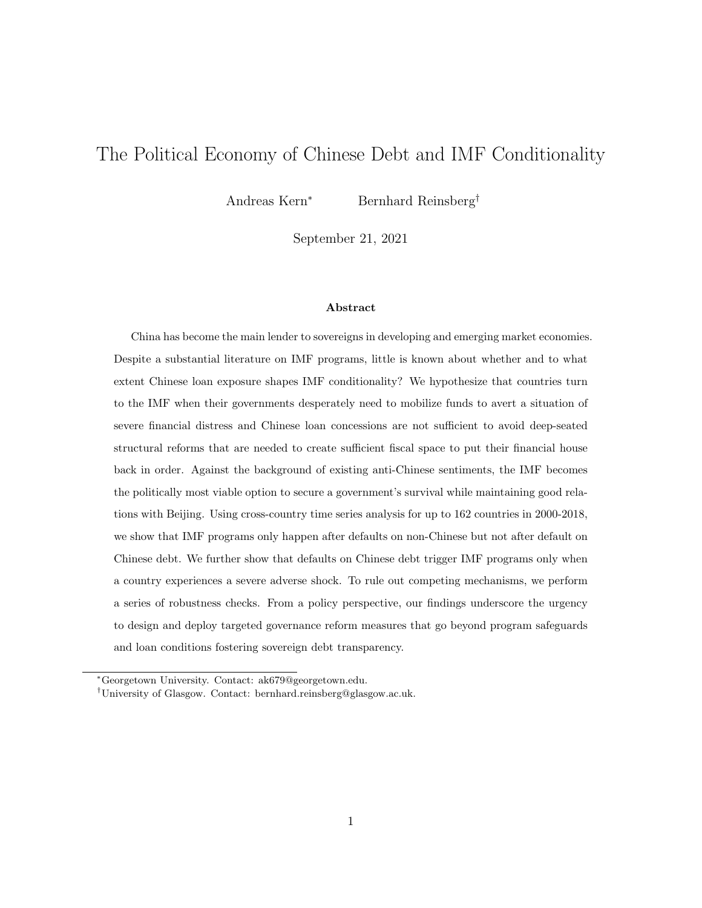# The Political Economy of Chinese Debt and IMF Conditionality

Andreas Kern<sup>∗</sup> Bernhard Reinsberg†

September 21, 2021

#### Abstract

China has become the main lender to sovereigns in developing and emerging market economies. Despite a substantial literature on IMF programs, little is known about whether and to what extent Chinese loan exposure shapes IMF conditionality? We hypothesize that countries turn to the IMF when their governments desperately need to mobilize funds to avert a situation of severe financial distress and Chinese loan concessions are not sufficient to avoid deep-seated structural reforms that are needed to create sufficient fiscal space to put their financial house back in order. Against the background of existing anti-Chinese sentiments, the IMF becomes the politically most viable option to secure a government's survival while maintaining good relations with Beijing. Using cross-country time series analysis for up to 162 countries in 2000-2018, we show that IMF programs only happen after defaults on non-Chinese but not after default on Chinese debt. We further show that defaults on Chinese debt trigger IMF programs only when a country experiences a severe adverse shock. To rule out competing mechanisms, we perform a series of robustness checks. From a policy perspective, our findings underscore the urgency to design and deploy targeted governance reform measures that go beyond program safeguards and loan conditions fostering sovereign debt transparency.

<sup>∗</sup>Georgetown University. Contact: ak679@georgetown.edu.

<sup>†</sup>University of Glasgow. Contact: bernhard.reinsberg@glasgow.ac.uk.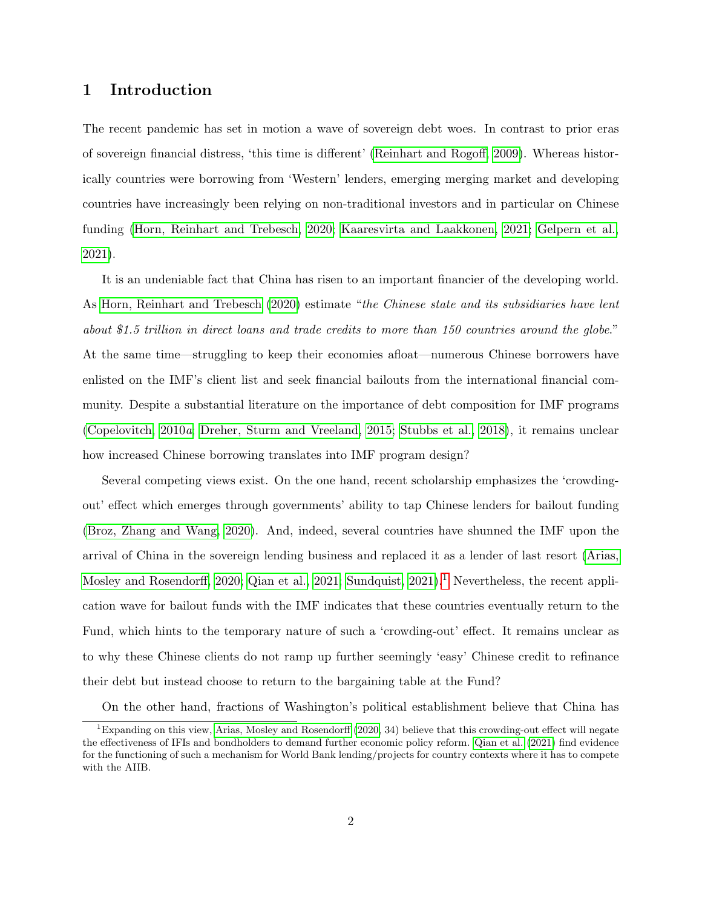### 1 Introduction

The recent pandemic has set in motion a wave of sovereign debt woes. In contrast to prior eras of sovereign financial distress, 'this time is different' [\(Reinhart and Rogoff, 2009\)](#page-28-0). Whereas historically countries were borrowing from 'Western' lenders, emerging merging market and developing countries have increasingly been relying on non-traditional investors and in particular on Chinese funding [\(Horn, Reinhart and Trebesch, 2020;](#page-27-0) [Kaaresvirta and Laakkonen, 2021;](#page-27-1) [Gelpern et al.,](#page-26-0) [2021\)](#page-26-0).

It is an undeniable fact that China has risen to an important financier of the developing world. As [Horn, Reinhart and Trebesch](#page-27-0) [\(2020\)](#page-27-0) estimate "the Chinese state and its subsidiaries have lent about \$1.5 trillion in direct loans and trade credits to more than 150 countries around the globe." At the same time—struggling to keep their economies afloat—numerous Chinese borrowers have enlisted on the IMF's client list and seek financial bailouts from the international financial community. Despite a substantial literature on the importance of debt composition for IMF programs [\(Copelovitch, 2010](#page-26-1)a; [Dreher, Sturm and Vreeland, 2015;](#page-26-2) [Stubbs et al., 2018\)](#page-29-0), it remains unclear how increased Chinese borrowing translates into IMF program design?

Several competing views exist. On the one hand, recent scholarship emphasizes the 'crowdingout' effect which emerges through governments' ability to tap Chinese lenders for bailout funding [\(Broz, Zhang and Wang, 2020\)](#page-25-0). And, indeed, several countries have shunned the IMF upon the arrival of China in the sovereign lending business and replaced it as a lender of last resort [\(Arias,](#page-25-1) [Mosley and Rosendorff, 2020;](#page-25-1) [Qian et al., 2021;](#page-28-1) Sundquist,  $2021$  $2021$ ).<sup>1</sup> Nevertheless, the recent application wave for bailout funds with the IMF indicates that these countries eventually return to the Fund, which hints to the temporary nature of such a 'crowding-out' effect. It remains unclear as to why these Chinese clients do not ramp up further seemingly 'easy' Chinese credit to refinance their debt but instead choose to return to the bargaining table at the Fund?

<span id="page-1-0"></span>On the other hand, fractions of Washington's political establishment believe that China has

<sup>&</sup>lt;sup>1</sup>Expanding on this view, [Arias, Mosley and Rosendorff](#page-25-1) [\(2020,](#page-25-1) 34) believe that this crowding-out effect will negate the effectiveness of IFIs and bondholders to demand further economic policy reform. [Qian et al.](#page-28-1) [\(2021\)](#page-28-1) find evidence for the functioning of such a mechanism for World Bank lending/projects for country contexts where it has to compete with the AIIB.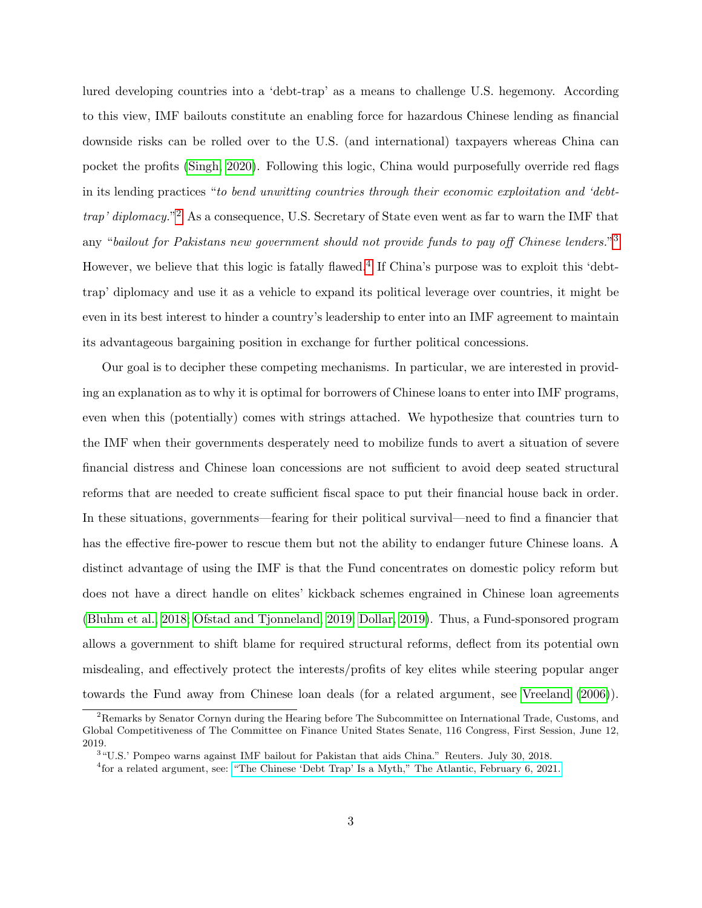lured developing countries into a 'debt-trap' as a means to challenge U.S. hegemony. According to this view, IMF bailouts constitute an enabling force for hazardous Chinese lending as financial downside risks can be rolled over to the U.S. (and international) taxpayers whereas China can pocket the profits [\(Singh, 2020\)](#page-29-2). Following this logic, China would purposefully override red flags in its lending practices "to bend unwitting countries through their economic exploitation and 'debt*trap' diplomacy.*"<sup>[2](#page-2-0)</sup> As a consequence, U.S. Secretary of State even went as far to warn the IMF that any "bailout for Pakistans new government should not provide funds to pay off Chinese lenders."<sup>[3](#page-2-1)</sup> However, we believe that this logic is fatally flawed.<sup>[4](#page-2-2)</sup> If China's purpose was to exploit this 'debttrap' diplomacy and use it as a vehicle to expand its political leverage over countries, it might be even in its best interest to hinder a country's leadership to enter into an IMF agreement to maintain its advantageous bargaining position in exchange for further political concessions.

Our goal is to decipher these competing mechanisms. In particular, we are interested in providing an explanation as to why it is optimal for borrowers of Chinese loans to enter into IMF programs, even when this (potentially) comes with strings attached. We hypothesize that countries turn to the IMF when their governments desperately need to mobilize funds to avert a situation of severe financial distress and Chinese loan concessions are not sufficient to avoid deep seated structural reforms that are needed to create sufficient fiscal space to put their financial house back in order. In these situations, governments—fearing for their political survival—need to find a financier that has the effective fire-power to rescue them but not the ability to endanger future Chinese loans. A distinct advantage of using the IMF is that the Fund concentrates on domestic policy reform but does not have a direct handle on elites' kickback schemes engrained in Chinese loan agreements [\(Bluhm et al., 2018;](#page-25-2) [Ofstad and Tjonneland, 2019;](#page-28-2) [Dollar, 2019\)](#page-26-3). Thus, a Fund-sponsored program allows a government to shift blame for required structural reforms, deflect from its potential own misdealing, and effectively protect the interests/profits of key elites while steering popular anger towards the Fund away from Chinese loan deals (for a related argument, see [Vreeland](#page-29-3) [\(2006\)](#page-29-3)).

<span id="page-2-0"></span><sup>2</sup>Remarks by Senator Cornyn during the Hearing before The Subcommittee on International Trade, Customs, and Global Competitiveness of The Committee on Finance United States Senate, 116 Congress, First Session, June 12, 2019.

<span id="page-2-1"></span><sup>3</sup> "U.S.' Pompeo warns against IMF bailout for Pakistan that aids China." Reuters. July 30, 2018.

<span id="page-2-2"></span><sup>4</sup> for a related argument, see: ["The Chinese 'Debt Trap' Is a Myth," The Atlantic, February 6, 2021.](https://www.theatlantic.com/international/archive/2021/02/china-debt-trap-diplomacy/617953/)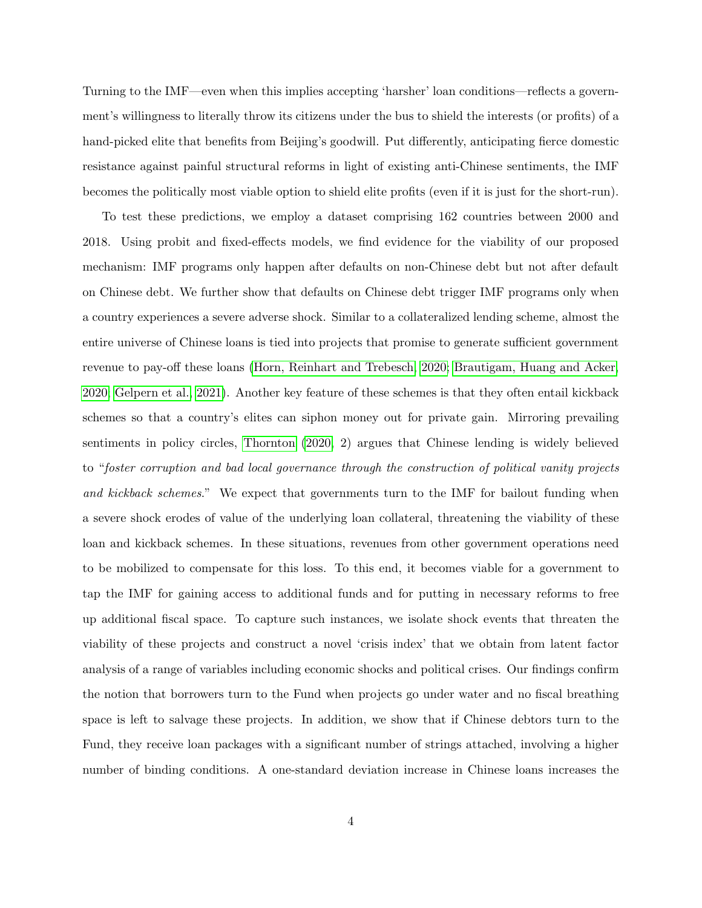Turning to the IMF—even when this implies accepting 'harsher' loan conditions—reflects a government's willingness to literally throw its citizens under the bus to shield the interests (or profits) of a hand-picked elite that benefits from Beijing's goodwill. Put differently, anticipating fierce domestic resistance against painful structural reforms in light of existing anti-Chinese sentiments, the IMF becomes the politically most viable option to shield elite profits (even if it is just for the short-run).

To test these predictions, we employ a dataset comprising 162 countries between 2000 and 2018. Using probit and fixed-effects models, we find evidence for the viability of our proposed mechanism: IMF programs only happen after defaults on non-Chinese debt but not after default on Chinese debt. We further show that defaults on Chinese debt trigger IMF programs only when a country experiences a severe adverse shock. Similar to a collateralized lending scheme, almost the entire universe of Chinese loans is tied into projects that promise to generate sufficient government revenue to pay-off these loans [\(Horn, Reinhart and Trebesch, 2020;](#page-27-0) [Brautigam, Huang and Acker,](#page-25-3) [2020;](#page-25-3) [Gelpern et al., 2021\)](#page-26-0). Another key feature of these schemes is that they often entail kickback schemes so that a country's elites can siphon money out for private gain. Mirroring prevailing sentiments in policy circles, [Thornton](#page-29-4) [\(2020,](#page-29-4) 2) argues that Chinese lending is widely believed to "foster corruption and bad local governance through the construction of political vanity projects and kickback schemes." We expect that governments turn to the IMF for bailout funding when a severe shock erodes of value of the underlying loan collateral, threatening the viability of these loan and kickback schemes. In these situations, revenues from other government operations need to be mobilized to compensate for this loss. To this end, it becomes viable for a government to tap the IMF for gaining access to additional funds and for putting in necessary reforms to free up additional fiscal space. To capture such instances, we isolate shock events that threaten the viability of these projects and construct a novel 'crisis index' that we obtain from latent factor analysis of a range of variables including economic shocks and political crises. Our findings confirm the notion that borrowers turn to the Fund when projects go under water and no fiscal breathing space is left to salvage these projects. In addition, we show that if Chinese debtors turn to the Fund, they receive loan packages with a significant number of strings attached, involving a higher number of binding conditions. A one-standard deviation increase in Chinese loans increases the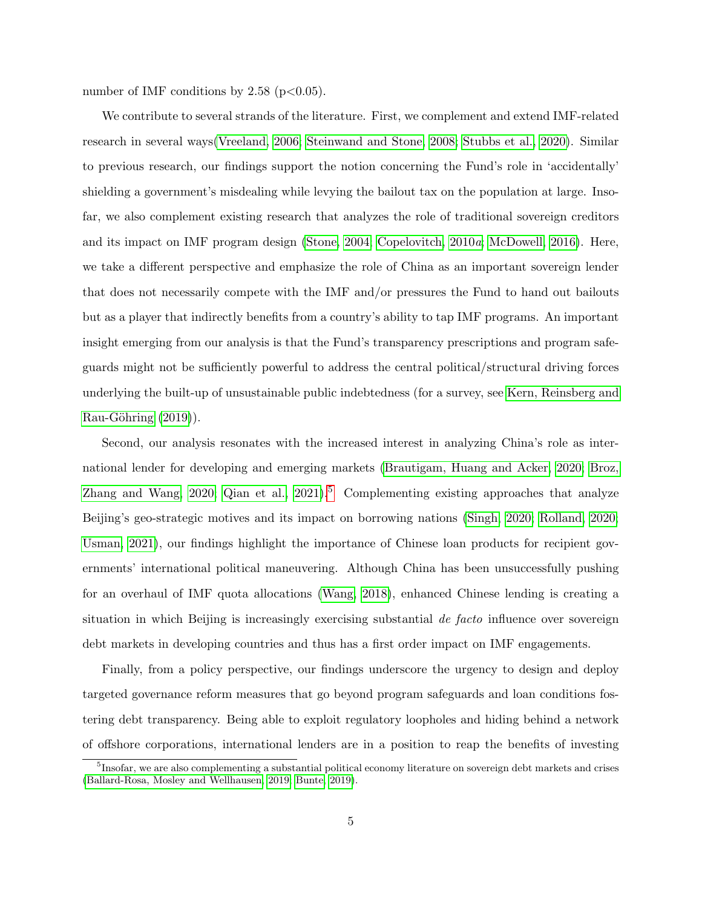number of IMF conditions by  $2.58$  (p $< 0.05$ ).

We contribute to several strands of the literature. First, we complement and extend IMF-related research in several ways[\(Vreeland, 2006;](#page-29-3) [Steinwand and Stone, 2008;](#page-29-5) [Stubbs et al., 2020\)](#page-29-6). Similar to previous research, our findings support the notion concerning the Fund's role in 'accidentally' shielding a government's misdealing while levying the bailout tax on the population at large. Insofar, we also complement existing research that analyzes the role of traditional sovereign creditors and its impact on IMF program design [\(Stone, 2004;](#page-29-7) [Copelovitch, 2010](#page-26-1)a; [McDowell, 2016\)](#page-28-3). Here, we take a different perspective and emphasize the role of China as an important sovereign lender that does not necessarily compete with the IMF and/or pressures the Fund to hand out bailouts but as a player that indirectly benefits from a country's ability to tap IMF programs. An important insight emerging from our analysis is that the Fund's transparency prescriptions and program safeguards might not be sufficiently powerful to address the central political/structural driving forces underlying the built-up of unsustainable public indebtedness (for a survey, see [Kern, Reinsberg and](#page-27-2)  $Rau-G\ddot{o}hring (2019)$  $Rau-G\ddot{o}hring (2019)$ .

Second, our analysis resonates with the increased interest in analyzing China's role as international lender for developing and emerging markets [\(Brautigam, Huang and Acker, 2020;](#page-25-3) [Broz,](#page-25-0) [Zhang and Wang, 2020;](#page-25-0) [Qian et al., 2021\)](#page-28-1).<sup>[5](#page-4-0)</sup> Complementing existing approaches that analyze Beijing's geo-strategic motives and its impact on borrowing nations [\(Singh, 2020;](#page-29-2) [Rolland, 2020;](#page-28-4) [Usman, 2021\)](#page-29-8), our findings highlight the importance of Chinese loan products for recipient governments' international political maneuvering. Although China has been unsuccessfully pushing for an overhaul of IMF quota allocations [\(Wang, 2018\)](#page-29-9), enhanced Chinese lending is creating a situation in which Beijing is increasingly exercising substantial de facto influence over sovereign debt markets in developing countries and thus has a first order impact on IMF engagements.

Finally, from a policy perspective, our findings underscore the urgency to design and deploy targeted governance reform measures that go beyond program safeguards and loan conditions fostering debt transparency. Being able to exploit regulatory loopholes and hiding behind a network of offshore corporations, international lenders are in a position to reap the benefits of investing

<span id="page-4-0"></span><sup>&</sup>lt;sup>5</sup>Insofar, we are also complementing a substantial political economy literature on sovereign debt markets and crises [\(Ballard-Rosa, Mosley and Wellhausen, 2019;](#page-25-4) [Bunte, 2019\)](#page-25-5).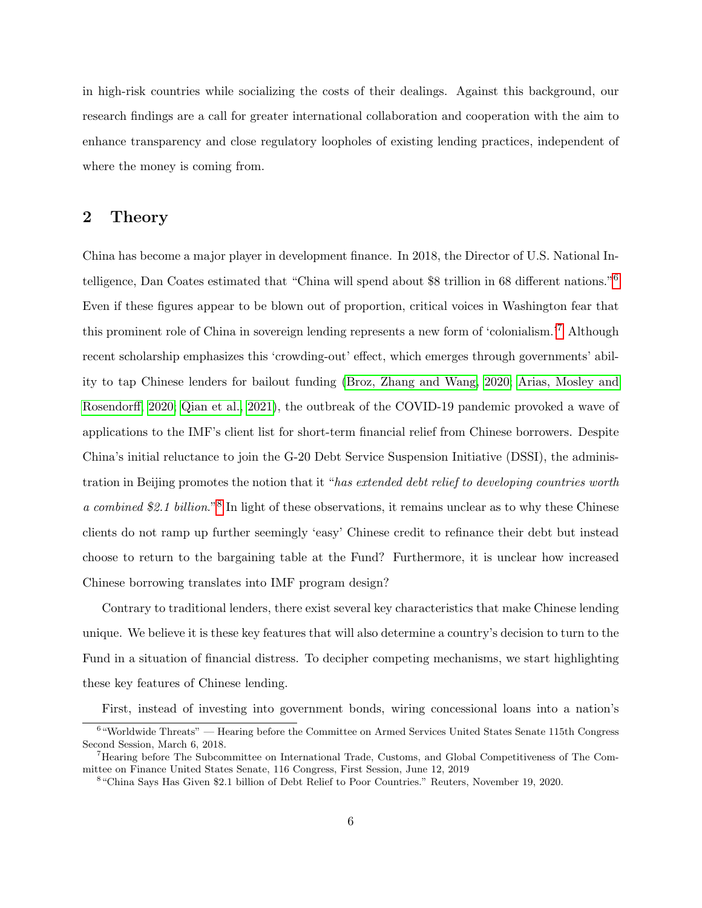in high-risk countries while socializing the costs of their dealings. Against this background, our research findings are a call for greater international collaboration and cooperation with the aim to enhance transparency and close regulatory loopholes of existing lending practices, independent of where the money is coming from.

### 2 Theory

China has become a major player in development finance. In 2018, the Director of U.S. National Intelligence, Dan Coates estimated that "China will spend about \$8 trillion in 68 different nations."[6](#page-5-0) Even if these figures appear to be blown out of proportion, critical voices in Washington fear that this prominent role of China in sovereign lending represents a new form of 'colonialism.'[7](#page-5-1) Although recent scholarship emphasizes this 'crowding-out' effect, which emerges through governments' ability to tap Chinese lenders for bailout funding [\(Broz, Zhang and Wang, 2020;](#page-25-0) [Arias, Mosley and](#page-25-1) [Rosendorff, 2020;](#page-25-1) [Qian et al., 2021\)](#page-28-1), the outbreak of the COVID-19 pandemic provoked a wave of applications to the IMF's client list for short-term financial relief from Chinese borrowers. Despite China's initial reluctance to join the G-20 Debt Service Suspension Initiative (DSSI), the administration in Beijing promotes the notion that it "has extended debt relief to developing countries worth a combined \$2.1 billion."<sup>[8](#page-5-2)</sup> In light of these observations, it remains unclear as to why these Chinese clients do not ramp up further seemingly 'easy' Chinese credit to refinance their debt but instead choose to return to the bargaining table at the Fund? Furthermore, it is unclear how increased Chinese borrowing translates into IMF program design?

Contrary to traditional lenders, there exist several key characteristics that make Chinese lending unique. We believe it is these key features that will also determine a country's decision to turn to the Fund in a situation of financial distress. To decipher competing mechanisms, we start highlighting these key features of Chinese lending.

<span id="page-5-0"></span>First, instead of investing into government bonds, wiring concessional loans into a nation's

<sup>&</sup>lt;sup>6</sup> "Worldwide Threats" — Hearing before the Committee on Armed Services United States Senate 115th Congress Second Session, March 6, 2018.

<span id="page-5-1"></span><sup>7</sup>Hearing before The Subcommittee on International Trade, Customs, and Global Competitiveness of The Committee on Finance United States Senate, 116 Congress, First Session, June 12, 2019

<span id="page-5-2"></span><sup>8</sup> "China Says Has Given \$2.1 billion of Debt Relief to Poor Countries." Reuters, November 19, 2020.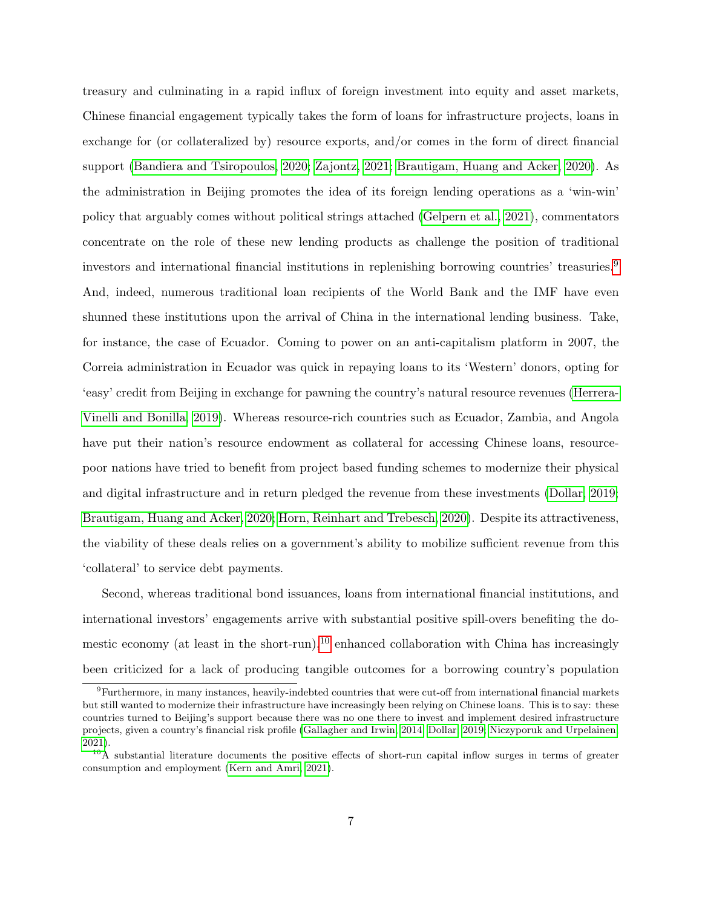treasury and culminating in a rapid influx of foreign investment into equity and asset markets, Chinese financial engagement typically takes the form of loans for infrastructure projects, loans in exchange for (or collateralized by) resource exports, and/or comes in the form of direct financial support [\(Bandiera and Tsiropoulos, 2020;](#page-25-6) [Zajontz, 2021;](#page-30-0) [Brautigam, Huang and Acker, 2020\)](#page-25-3). As the administration in Beijing promotes the idea of its foreign lending operations as a 'win-win' policy that arguably comes without political strings attached [\(Gelpern et al., 2021\)](#page-26-0), commentators concentrate on the role of these new lending products as challenge the position of traditional investors and international financial institutions in replenishing borrowing countries' treasuries.[9](#page-6-0) And, indeed, numerous traditional loan recipients of the World Bank and the IMF have even shunned these institutions upon the arrival of China in the international lending business. Take, for instance, the case of Ecuador. Coming to power on an anti-capitalism platform in 2007, the Correia administration in Ecuador was quick in repaying loans to its 'Western' donors, opting for 'easy' credit from Beijing in exchange for pawning the country's natural resource revenues [\(Herrera-](#page-27-3)[Vinelli and Bonilla, 2019\)](#page-27-3). Whereas resource-rich countries such as Ecuador, Zambia, and Angola have put their nation's resource endowment as collateral for accessing Chinese loans, resourcepoor nations have tried to benefit from project based funding schemes to modernize their physical and digital infrastructure and in return pledged the revenue from these investments [\(Dollar, 2019;](#page-26-3) [Brautigam, Huang and Acker, 2020;](#page-25-3) [Horn, Reinhart and Trebesch, 2020\)](#page-27-0). Despite its attractiveness, the viability of these deals relies on a government's ability to mobilize sufficient revenue from this 'collateral' to service debt payments.

Second, whereas traditional bond issuances, loans from international financial institutions, and international investors' engagements arrive with substantial positive spill-overs benefiting the do-mestic economy (at least in the short-run),<sup>[10](#page-6-1)</sup> enhanced collaboration with China has increasingly been criticized for a lack of producing tangible outcomes for a borrowing country's population

<span id="page-6-0"></span><sup>9</sup>Furthermore, in many instances, heavily-indebted countries that were cut-off from international financial markets but still wanted to modernize their infrastructure have increasingly been relying on Chinese loans. This is to say: these countries turned to Beijing's support because there was no one there to invest and implement desired infrastructure projects, given a country's financial risk profile [\(Gallagher and Irwin, 2014;](#page-26-4) [Dollar, 2019;](#page-26-3) [Niczyporuk and Urpelainen,](#page-28-5) [2021\)](#page-28-5).

<span id="page-6-1"></span> $10$ <sup>10</sup>A substantial literature documents the positive effects of short-run capital inflow surges in terms of greater consumption and employment [\(Kern and Amri, 2021\)](#page-27-4).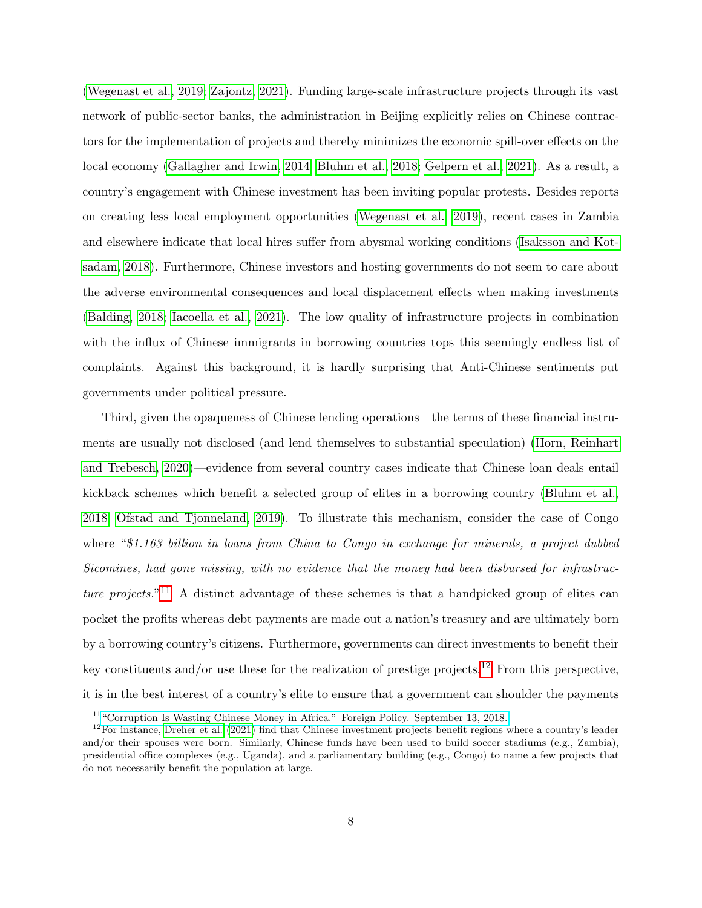[\(Wegenast et al., 2019;](#page-30-1) [Zajontz, 2021\)](#page-30-0). Funding large-scale infrastructure projects through its vast network of public-sector banks, the administration in Beijing explicitly relies on Chinese contractors for the implementation of projects and thereby minimizes the economic spill-over effects on the local economy [\(Gallagher and Irwin, 2014;](#page-26-4) [Bluhm et al., 2018;](#page-25-2) [Gelpern et al., 2021\)](#page-26-0). As a result, a country's engagement with Chinese investment has been inviting popular protests. Besides reports on creating less local employment opportunities [\(Wegenast et al., 2019\)](#page-30-1), recent cases in Zambia and elsewhere indicate that local hires suffer from abysmal working conditions [\(Isaksson and Kot](#page-27-5)[sadam, 2018\)](#page-27-5). Furthermore, Chinese investors and hosting governments do not seem to care about the adverse environmental consequences and local displacement effects when making investments [\(Balding, 2018;](#page-25-7) [Iacoella et al., 2021\)](#page-27-6). The low quality of infrastructure projects in combination with the influx of Chinese immigrants in borrowing countries tops this seemingly endless list of complaints. Against this background, it is hardly surprising that Anti-Chinese sentiments put governments under political pressure.

Third, given the opaqueness of Chinese lending operations—the terms of these financial instruments are usually not disclosed (and lend themselves to substantial speculation) [\(Horn, Reinhart](#page-27-0) [and Trebesch, 2020\)](#page-27-0)—evidence from several country cases indicate that Chinese loan deals entail kickback schemes which benefit a selected group of elites in a borrowing country [\(Bluhm et al.,](#page-25-2) [2018;](#page-25-2) [Ofstad and Tjonneland, 2019\)](#page-28-2). To illustrate this mechanism, consider the case of Congo where "\$1.163 billion in loans from China to Congo in exchange for minerals, a project dubbed Sicomines, had gone missing, with no evidence that the money had been disbursed for infrastruc-ture projects."<sup>[11](#page-7-0)</sup> A distinct advantage of these schemes is that a handpicked group of elites can pocket the profits whereas debt payments are made out a nation's treasury and are ultimately born by a borrowing country's citizens. Furthermore, governments can direct investments to benefit their key constituents and/or use these for the realization of prestige projects.<sup>[12](#page-7-1)</sup> From this perspective, it is in the best interest of a country's elite to ensure that a government can shoulder the payments

<span id="page-7-1"></span><span id="page-7-0"></span><sup>&</sup>lt;sup>11</sup> ["Corruption Is Wasting Chinese Money in Africa." Foreign Policy. September 13, 2018.](https://foreignpolicy.com/2018/09/13/corruption-is-wasting-chinese-money-in-africa/)

 $12$ For instance, [Dreher et al.](#page-26-5) [\(2021\)](#page-26-5) find that Chinese investment projects benefit regions where a country's leader and/or their spouses were born. Similarly, Chinese funds have been used to build soccer stadiums (e.g., Zambia), presidential office complexes (e.g., Uganda), and a parliamentary building (e.g., Congo) to name a few projects that do not necessarily benefit the population at large.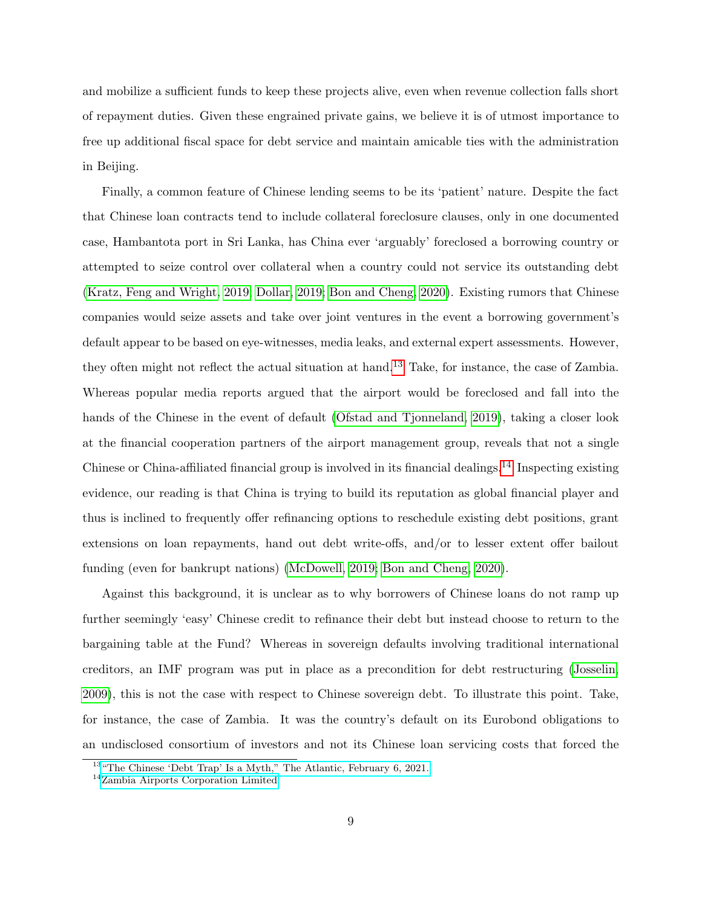and mobilize a sufficient funds to keep these projects alive, even when revenue collection falls short of repayment duties. Given these engrained private gains, we believe it is of utmost importance to free up additional fiscal space for debt service and maintain amicable ties with the administration in Beijing.

Finally, a common feature of Chinese lending seems to be its 'patient' nature. Despite the fact that Chinese loan contracts tend to include collateral foreclosure clauses, only in one documented case, Hambantota port in Sri Lanka, has China ever 'arguably' foreclosed a borrowing country or attempted to seize control over collateral when a country could not service its outstanding debt [\(Kratz, Feng and Wright, 2019;](#page-27-7) [Dollar, 2019;](#page-26-3) [Bon and Cheng, 2020\)](#page-25-8). Existing rumors that Chinese companies would seize assets and take over joint ventures in the event a borrowing government's default appear to be based on eye-witnesses, media leaks, and external expert assessments. However, they often might not reflect the actual situation at hand.[13](#page-8-0) Take, for instance, the case of Zambia. Whereas popular media reports argued that the airport would be foreclosed and fall into the hands of the Chinese in the event of default [\(Ofstad and Tjonneland, 2019\)](#page-28-2), taking a closer look at the financial cooperation partners of the airport management group, reveals that not a single Chinese or China-affiliated financial group is involved in its financial dealings.[14](#page-8-1) Inspecting existing evidence, our reading is that China is trying to build its reputation as global financial player and thus is inclined to frequently offer refinancing options to reschedule existing debt positions, grant extensions on loan repayments, hand out debt write-offs, and/or to lesser extent offer bailout funding (even for bankrupt nations) [\(McDowell, 2019;](#page-28-6) [Bon and Cheng, 2020\)](#page-25-8).

Against this background, it is unclear as to why borrowers of Chinese loans do not ramp up further seemingly 'easy' Chinese credit to refinance their debt but instead choose to return to the bargaining table at the Fund? Whereas in sovereign defaults involving traditional international creditors, an IMF program was put in place as a precondition for debt restructuring [\(Josselin,](#page-27-8) [2009\)](#page-27-8), this is not the case with respect to Chinese sovereign debt. To illustrate this point. Take, for instance, the case of Zambia. It was the country's default on its Eurobond obligations to an undisclosed consortium of investors and not its Chinese loan servicing costs that forced the

<span id="page-8-0"></span> $^{13}$  ["The Chinese 'Debt Trap' Is a Myth," The Atlantic, February 6, 2021.](https://www.theatlantic.com/international/archive/2021/02/china-debt-trap-diplomacy/617953/)

<span id="page-8-1"></span><sup>14</sup>[Zambia Airports Corporation Limited](https://www.zacl.co.zm/application/files/2116/2497/7599/Annual_Report_2021_PC_Approved_24_June.pdf)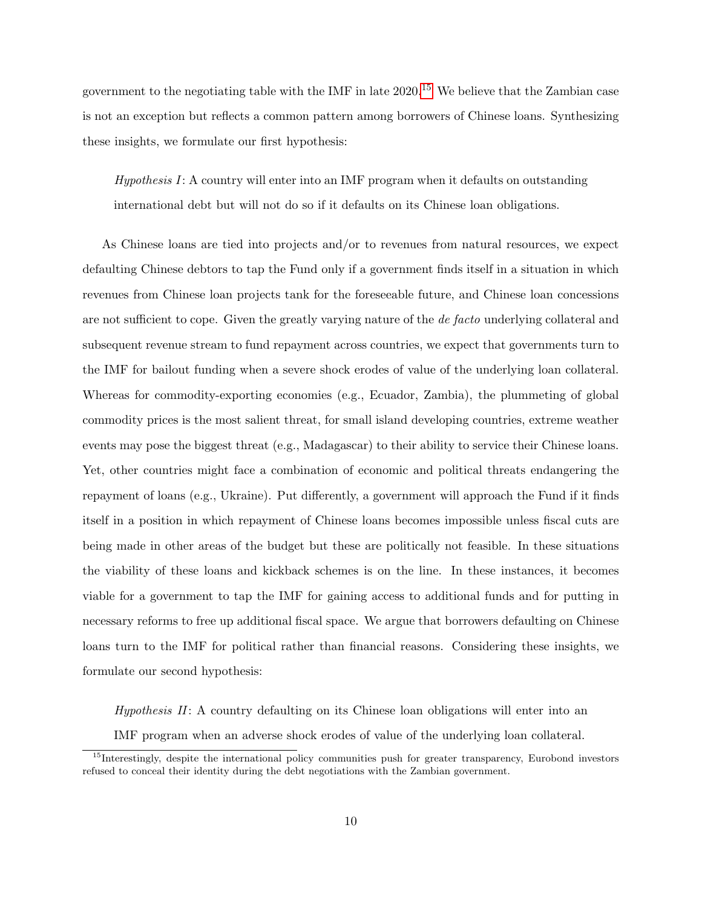government to the negotiating table with the IMF in late 2020.[15](#page-9-0) We believe that the Zambian case is not an exception but reflects a common pattern among borrowers of Chinese loans. Synthesizing these insights, we formulate our first hypothesis:

Hypothesis I: A country will enter into an IMF program when it defaults on outstanding international debt but will not do so if it defaults on its Chinese loan obligations.

As Chinese loans are tied into projects and/or to revenues from natural resources, we expect defaulting Chinese debtors to tap the Fund only if a government finds itself in a situation in which revenues from Chinese loan projects tank for the foreseeable future, and Chinese loan concessions are not sufficient to cope. Given the greatly varying nature of the *de facto* underlying collateral and subsequent revenue stream to fund repayment across countries, we expect that governments turn to the IMF for bailout funding when a severe shock erodes of value of the underlying loan collateral. Whereas for commodity-exporting economies (e.g., Ecuador, Zambia), the plummeting of global commodity prices is the most salient threat, for small island developing countries, extreme weather events may pose the biggest threat (e.g., Madagascar) to their ability to service their Chinese loans. Yet, other countries might face a combination of economic and political threats endangering the repayment of loans (e.g., Ukraine). Put differently, a government will approach the Fund if it finds itself in a position in which repayment of Chinese loans becomes impossible unless fiscal cuts are being made in other areas of the budget but these are politically not feasible. In these situations the viability of these loans and kickback schemes is on the line. In these instances, it becomes viable for a government to tap the IMF for gaining access to additional funds and for putting in necessary reforms to free up additional fiscal space. We argue that borrowers defaulting on Chinese loans turn to the IMF for political rather than financial reasons. Considering these insights, we formulate our second hypothesis:

Hypothesis II: A country defaulting on its Chinese loan obligations will enter into an

IMF program when an adverse shock erodes of value of the underlying loan collateral.

<span id="page-9-0"></span><sup>&</sup>lt;sup>15</sup>Interestingly, despite the international policy communities push for greater transparency, Eurobond investors refused to conceal their identity during the debt negotiations with the Zambian government.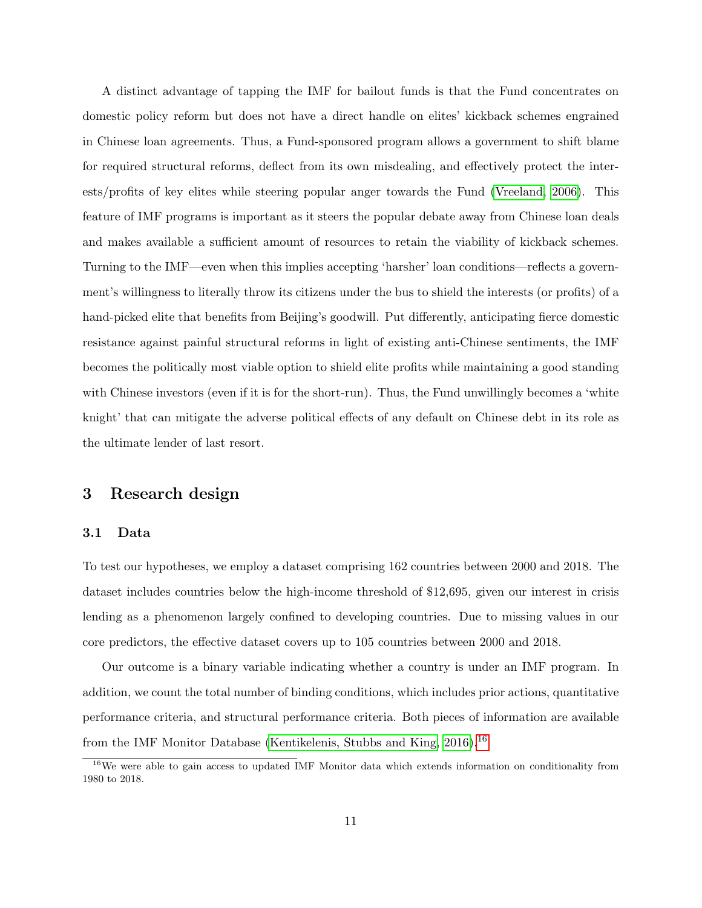A distinct advantage of tapping the IMF for bailout funds is that the Fund concentrates on domestic policy reform but does not have a direct handle on elites' kickback schemes engrained in Chinese loan agreements. Thus, a Fund-sponsored program allows a government to shift blame for required structural reforms, deflect from its own misdealing, and effectively protect the interests/profits of key elites while steering popular anger towards the Fund [\(Vreeland, 2006\)](#page-29-3). This feature of IMF programs is important as it steers the popular debate away from Chinese loan deals and makes available a sufficient amount of resources to retain the viability of kickback schemes. Turning to the IMF—even when this implies accepting 'harsher' loan conditions—reflects a government's willingness to literally throw its citizens under the bus to shield the interests (or profits) of a hand-picked elite that benefits from Beijing's goodwill. Put differently, anticipating fierce domestic resistance against painful structural reforms in light of existing anti-Chinese sentiments, the IMF becomes the politically most viable option to shield elite profits while maintaining a good standing with Chinese investors (even if it is for the short-run). Thus, the Fund unwillingly becomes a 'white knight' that can mitigate the adverse political effects of any default on Chinese debt in its role as the ultimate lender of last resort.

### 3 Research design

#### 3.1 Data

To test our hypotheses, we employ a dataset comprising 162 countries between 2000 and 2018. The dataset includes countries below the high-income threshold of \$12,695, given our interest in crisis lending as a phenomenon largely confined to developing countries. Due to missing values in our core predictors, the effective dataset covers up to 105 countries between 2000 and 2018.

Our outcome is a binary variable indicating whether a country is under an IMF program. In addition, we count the total number of binding conditions, which includes prior actions, quantitative performance criteria, and structural performance criteria. Both pieces of information are available from the IMF Monitor Database [\(Kentikelenis, Stubbs and King, 2016\)](#page-27-9).[16](#page-10-0)

<span id="page-10-0"></span><sup>&</sup>lt;sup>16</sup>We were able to gain access to updated IMF Monitor data which extends information on conditionality from 1980 to 2018.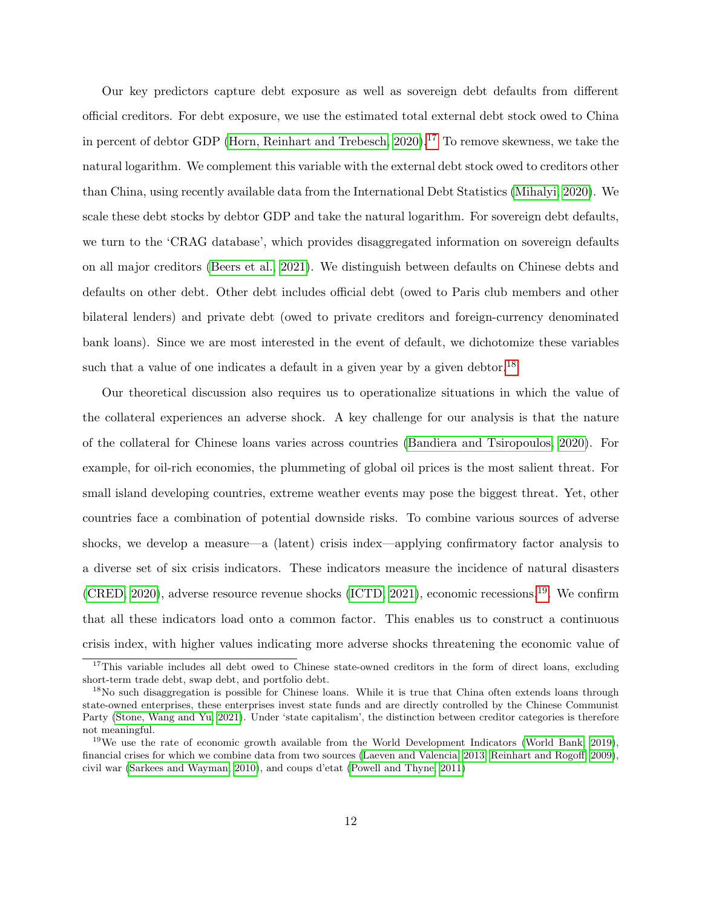Our key predictors capture debt exposure as well as sovereign debt defaults from different official creditors. For debt exposure, we use the estimated total external debt stock owed to China in percent of debtor GDP (Horn, Reinhart and Trebesch,  $2020$ ).<sup>[17](#page-11-0)</sup> To remove skewness, we take the natural logarithm. We complement this variable with the external debt stock owed to creditors other than China, using recently available data from the International Debt Statistics [\(Mihalyi, 2020\)](#page-28-7). We scale these debt stocks by debtor GDP and take the natural logarithm. For sovereign debt defaults, we turn to the 'CRAG database', which provides disaggregated information on sovereign defaults on all major creditors [\(Beers et al., 2021\)](#page-25-9). We distinguish between defaults on Chinese debts and defaults on other debt. Other debt includes official debt (owed to Paris club members and other bilateral lenders) and private debt (owed to private creditors and foreign-currency denominated bank loans). Since we are most interested in the event of default, we dichotomize these variables such that a value of one indicates a default in a given year by a given debtor.<sup>[18](#page-11-1)</sup>

Our theoretical discussion also requires us to operationalize situations in which the value of the collateral experiences an adverse shock. A key challenge for our analysis is that the nature of the collateral for Chinese loans varies across countries [\(Bandiera and Tsiropoulos, 2020\)](#page-25-6). For example, for oil-rich economies, the plummeting of global oil prices is the most salient threat. For small island developing countries, extreme weather events may pose the biggest threat. Yet, other countries face a combination of potential downside risks. To combine various sources of adverse shocks, we develop a measure—a (latent) crisis index—applying confirmatory factor analysis to a diverse set of six crisis indicators. These indicators measure the incidence of natural disasters [\(CRED, 2020\)](#page-26-6), adverse resource revenue shocks [\(ICTD, 2021\)](#page-27-10), economic recessions,[19](#page-11-2). We confirm that all these indicators load onto a common factor. This enables us to construct a continuous crisis index, with higher values indicating more adverse shocks threatening the economic value of

<span id="page-11-0"></span><sup>&</sup>lt;sup>17</sup>This variable includes all debt owed to Chinese state-owned creditors in the form of direct loans, excluding short-term trade debt, swap debt, and portfolio debt.

<span id="page-11-1"></span><sup>&</sup>lt;sup>18</sup>No such disaggregation is possible for Chinese loans. While it is true that China often extends loans through state-owned enterprises, these enterprises invest state funds and are directly controlled by the Chinese Communist Party [\(Stone, Wang and Yu, 2021\)](#page-29-10). Under 'state capitalism', the distinction between creditor categories is therefore not meaningful.

<span id="page-11-2"></span><sup>&</sup>lt;sup>19</sup>We use the rate of economic growth available from the World Development Indicators [\(World Bank, 2019\)](#page-30-2), financial crises for which we combine data from two sources [\(Laeven and Valencia, 2013;](#page-27-11) [Reinhart and Rogoff, 2009\)](#page-28-0), civil war [\(Sarkees and Wayman, 2010\)](#page-28-8), and coups d'etat [\(Powell and Thyne, 2011\)](#page-28-9)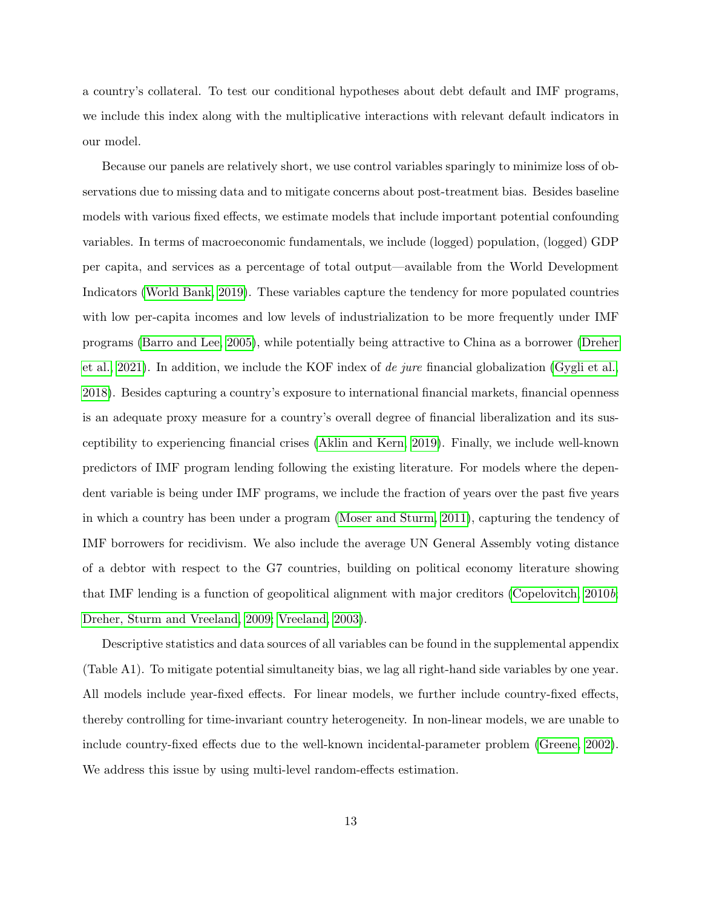a country's collateral. To test our conditional hypotheses about debt default and IMF programs, we include this index along with the multiplicative interactions with relevant default indicators in our model.

Because our panels are relatively short, we use control variables sparingly to minimize loss of observations due to missing data and to mitigate concerns about post-treatment bias. Besides baseline models with various fixed effects, we estimate models that include important potential confounding variables. In terms of macroeconomic fundamentals, we include (logged) population, (logged) GDP per capita, and services as a percentage of total output—available from the World Development Indicators [\(World Bank, 2019\)](#page-30-2). These variables capture the tendency for more populated countries with low per-capita incomes and low levels of industrialization to be more frequently under IMF programs [\(Barro and Lee, 2005\)](#page-25-10), while potentially being attractive to China as a borrower [\(Dreher](#page-26-5) [et al., 2021\)](#page-26-5). In addition, we include the KOF index of de jure financial globalization [\(Gygli et al.,](#page-26-7) [2018\)](#page-26-7). Besides capturing a country's exposure to international financial markets, financial openness is an adequate proxy measure for a country's overall degree of financial liberalization and its susceptibility to experiencing financial crises [\(Aklin and Kern, 2019\)](#page-25-11). Finally, we include well-known predictors of IMF program lending following the existing literature. For models where the dependent variable is being under IMF programs, we include the fraction of years over the past five years in which a country has been under a program [\(Moser and Sturm, 2011\)](#page-28-10), capturing the tendency of IMF borrowers for recidivism. We also include the average UN General Assembly voting distance of a debtor with respect to the G7 countries, building on political economy literature showing that IMF lending is a function of geopolitical alignment with major creditors [\(Copelovitch, 2010](#page-26-8)b; [Dreher, Sturm and Vreeland, 2009;](#page-26-9) [Vreeland, 2003\)](#page-29-11).

Descriptive statistics and data sources of all variables can be found in the supplemental appendix (Table A1). To mitigate potential simultaneity bias, we lag all right-hand side variables by one year. All models include year-fixed effects. For linear models, we further include country-fixed effects, thereby controlling for time-invariant country heterogeneity. In non-linear models, we are unable to include country-fixed effects due to the well-known incidental-parameter problem [\(Greene, 2002\)](#page-26-10). We address this issue by using multi-level random-effects estimation.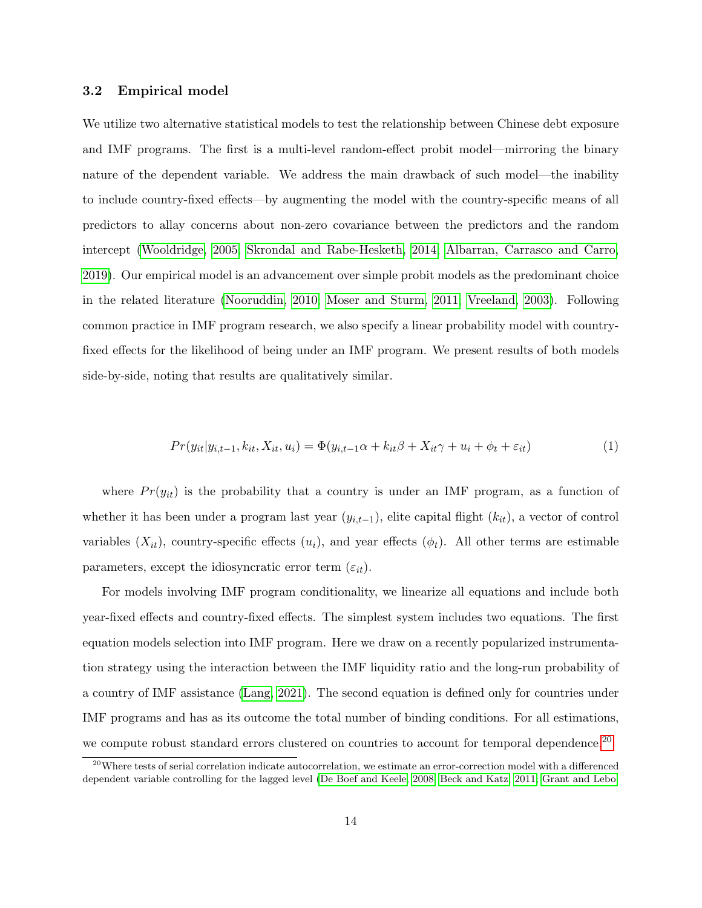#### 3.2 Empirical model

We utilize two alternative statistical models to test the relationship between Chinese debt exposure and IMF programs. The first is a multi-level random-effect probit model—mirroring the binary nature of the dependent variable. We address the main drawback of such model—the inability to include country-fixed effects—by augmenting the model with the country-specific means of all predictors to allay concerns about non-zero covariance between the predictors and the random intercept [\(Wooldridge, 2005;](#page-30-3) [Skrondal and Rabe-Hesketh, 2014;](#page-29-12) [Albarran, Carrasco and Carro,](#page-25-12) [2019\)](#page-25-12). Our empirical model is an advancement over simple probit models as the predominant choice in the related literature [\(Nooruddin, 2010;](#page-28-11) [Moser and Sturm, 2011;](#page-28-10) [Vreeland, 2003\)](#page-29-11). Following common practice in IMF program research, we also specify a linear probability model with countryfixed effects for the likelihood of being under an IMF program. We present results of both models side-by-side, noting that results are qualitatively similar.

$$
Pr(y_{it}|y_{i,t-1}, k_{it}, X_{it}, u_i) = \Phi(y_{i,t-1}\alpha + k_{it}\beta + X_{it}\gamma + u_i + \phi_t + \varepsilon_{it})
$$
\n
$$
\tag{1}
$$

where  $Pr(y_{it})$  is the probability that a country is under an IMF program, as a function of whether it has been under a program last year  $(y_{i,t-1})$ , elite capital flight  $(k_{it})$ , a vector of control variables  $(X_{it})$ , country-specific effects  $(u_i)$ , and year effects  $(\phi_t)$ . All other terms are estimable parameters, except the idiosyncratic error term  $(\varepsilon_{it})$ .

For models involving IMF program conditionality, we linearize all equations and include both year-fixed effects and country-fixed effects. The simplest system includes two equations. The first equation models selection into IMF program. Here we draw on a recently popularized instrumentation strategy using the interaction between the IMF liquidity ratio and the long-run probability of a country of IMF assistance [\(Lang, 2021\)](#page-27-12). The second equation is defined only for countries under IMF programs and has as its outcome the total number of binding conditions. For all estimations, we compute robust standard errors clustered on countries to account for temporal dependence.<sup>[20](#page-13-0)</sup>

<span id="page-13-0"></span> $^{20}$ Where tests of serial correlation indicate autocorrelation, we estimate an error-correction model with a differenced dependent variable controlling for the lagged level [\(De Boef and Keele, 2008;](#page-26-11) [Beck and Katz, 2011;](#page-25-13) [Grant and Lebo,](#page-26-12)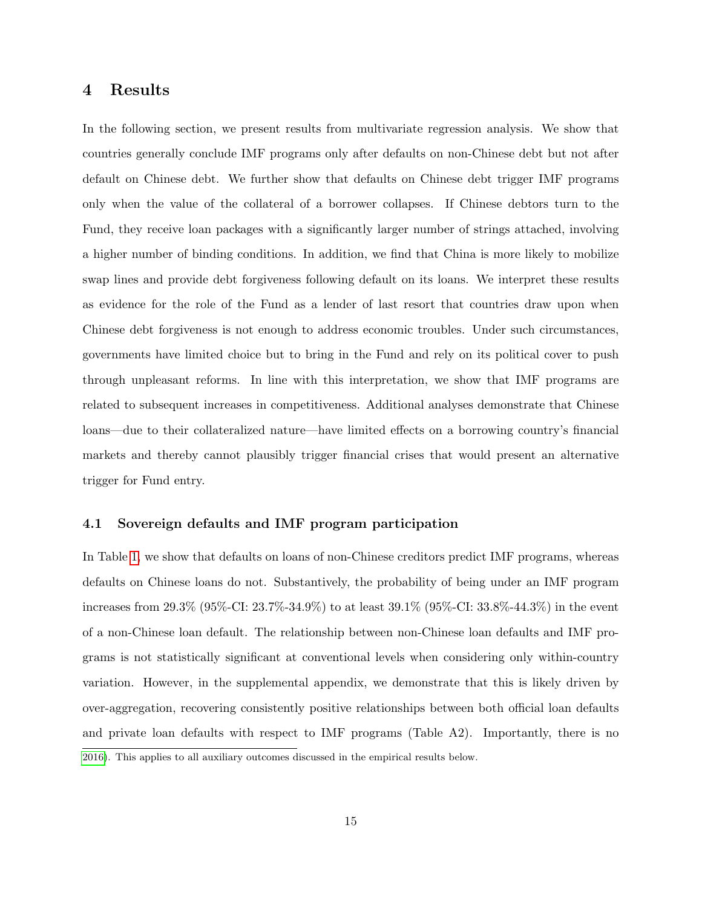### 4 Results

In the following section, we present results from multivariate regression analysis. We show that countries generally conclude IMF programs only after defaults on non-Chinese debt but not after default on Chinese debt. We further show that defaults on Chinese debt trigger IMF programs only when the value of the collateral of a borrower collapses. If Chinese debtors turn to the Fund, they receive loan packages with a significantly larger number of strings attached, involving a higher number of binding conditions. In addition, we find that China is more likely to mobilize swap lines and provide debt forgiveness following default on its loans. We interpret these results as evidence for the role of the Fund as a lender of last resort that countries draw upon when Chinese debt forgiveness is not enough to address economic troubles. Under such circumstances, governments have limited choice but to bring in the Fund and rely on its political cover to push through unpleasant reforms. In line with this interpretation, we show that IMF programs are related to subsequent increases in competitiveness. Additional analyses demonstrate that Chinese loans—due to their collateralized nature—have limited effects on a borrowing country's financial markets and thereby cannot plausibly trigger financial crises that would present an alternative trigger for Fund entry.

#### 4.1 Sovereign defaults and IMF program participation

In Table [1,](#page-15-0) we show that defaults on loans of non-Chinese creditors predict IMF programs, whereas defaults on Chinese loans do not. Substantively, the probability of being under an IMF program increases from 29.3% (95%-CI: 23.7%-34.9%) to at least 39.1% (95%-CI: 33.8%-44.3%) in the event of a non-Chinese loan default. The relationship between non-Chinese loan defaults and IMF programs is not statistically significant at conventional levels when considering only within-country variation. However, in the supplemental appendix, we demonstrate that this is likely driven by over-aggregation, recovering consistently positive relationships between both official loan defaults and private loan defaults with respect to IMF programs (Table A2). Importantly, there is no [2016\)](#page-26-12). This applies to all auxiliary outcomes discussed in the empirical results below.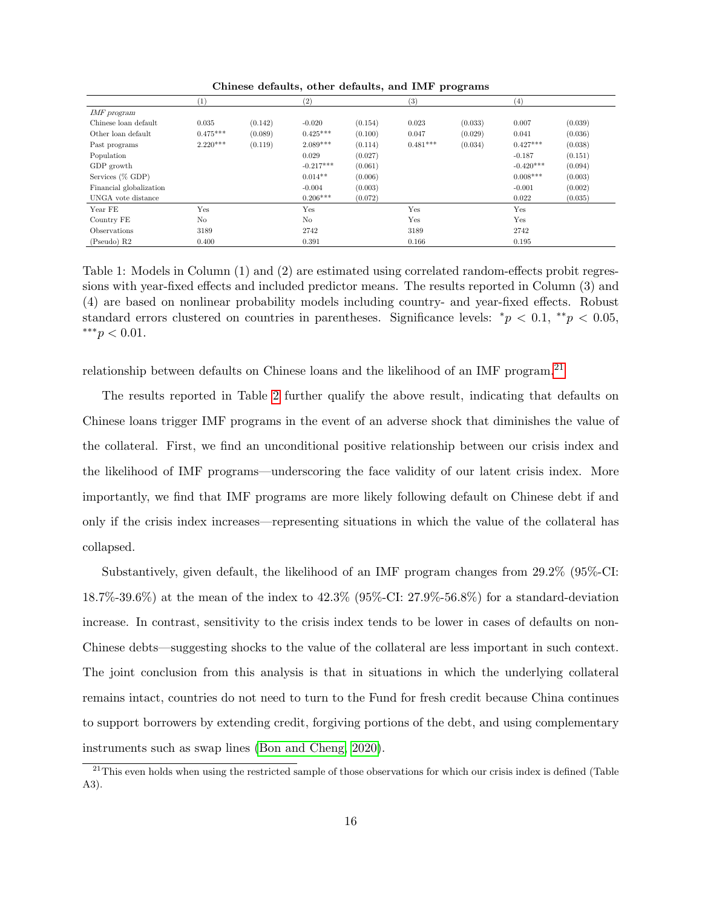Chinese defaults, other defaults, and IMF programs.

|                         | (1)        |         | (2)            |         | (3)        |         | $\left( 4\right)$ |         |
|-------------------------|------------|---------|----------------|---------|------------|---------|-------------------|---------|
| IMF program             |            |         |                |         |            |         |                   |         |
| Chinese loan default    | 0.035      | (0.142) | $-0.020$       | (0.154) | 0.023      | (0.033) | 0.007             | (0.039) |
| Other loan default      | $0.475***$ | (0.089) | $0.425***$     | (0.100) | 0.047      | (0.029) | 0.041             | (0.036) |
| Past programs           | $2.220***$ | (0.119) | $2.089***$     | (0.114) | $0.481***$ | (0.034) | $0.427***$        | (0.038) |
| Population              |            |         | 0.029          | (0.027) |            |         | $-0.187$          | (0.151) |
| GDP growth              |            |         | $-0.217***$    | (0.061) |            |         | $-0.420***$       | (0.094) |
| Services (% GDP)        |            |         | $0.014**$      | (0.006) |            |         | $0.008***$        | (0.003) |
| Financial globalization |            |         | $-0.004$       | (0.003) |            |         | $-0.001$          | (0.002) |
| UNGA vote distance      |            |         | $0.206***$     | (0.072) |            |         | 0.022             | (0.035) |
| Year FE                 | Yes        |         | Yes            |         | Yes        |         | Yes               |         |
| Country FE              | No         |         | N <sub>o</sub> |         | Yes        |         | Yes               |         |
| Observations            | 3189       |         | 2742           |         | 3189       |         | 2742              |         |
| (Pseudo) R2             | 0.400      |         | 0.391          |         | 0.166      |         | 0.195             |         |

<span id="page-15-0"></span> sions with year-fixed effects and included predictor means. The results reported in Column (3) and Table 1: Models in Column (1) and (2) are estimated using correlated random-effects probit regres-(4) are based on nonlinear probability models including country- and year-fixed effects. Robust standard errors clustered on countries in parentheses. Significance levels: \* $p < 0.1$ , \*\* $p < 0.05$ , ∗∗∗p < 0.01.

relationship between defaults on Chinese loans and the likelihood of an IMF program.[21](#page-15-1)

The results reported in Table [2](#page-16-0) further qualify the above result, indicating that defaults on Chinese loans trigger IMF programs in the event of an adverse shock that diminishes the value of the collateral. First, we find an unconditional positive relationship between our crisis index and the likelihood of IMF programs—underscoring the face validity of our latent crisis index. More importantly, we find that IMF programs are more likely following default on Chinese debt if and only if the crisis index increases—representing situations in which the value of the collateral has collapsed.

Substantively, given default, the likelihood of an IMF program changes from 29.2% (95%-CI: 18.7%-39.6%) at the mean of the index to 42.3% (95%-CI: 27.9%-56.8%) for a standard-deviation increase. In contrast, sensitivity to the crisis index tends to be lower in cases of defaults on non-Chinese debts—suggesting shocks to the value of the collateral are less important in such context. The joint conclusion from this analysis is that in situations in which the underlying collateral remains intact, countries do not need to turn to the Fund for fresh credit because China continues to support borrowers by extending credit, forgiving portions of the debt, and using complementary instruments such as swap lines [\(Bon and Cheng, 2020\)](#page-25-8).

<span id="page-15-1"></span> $21$ This even holds when using the restricted sample of those observations for which our crisis index is defined (Table A3).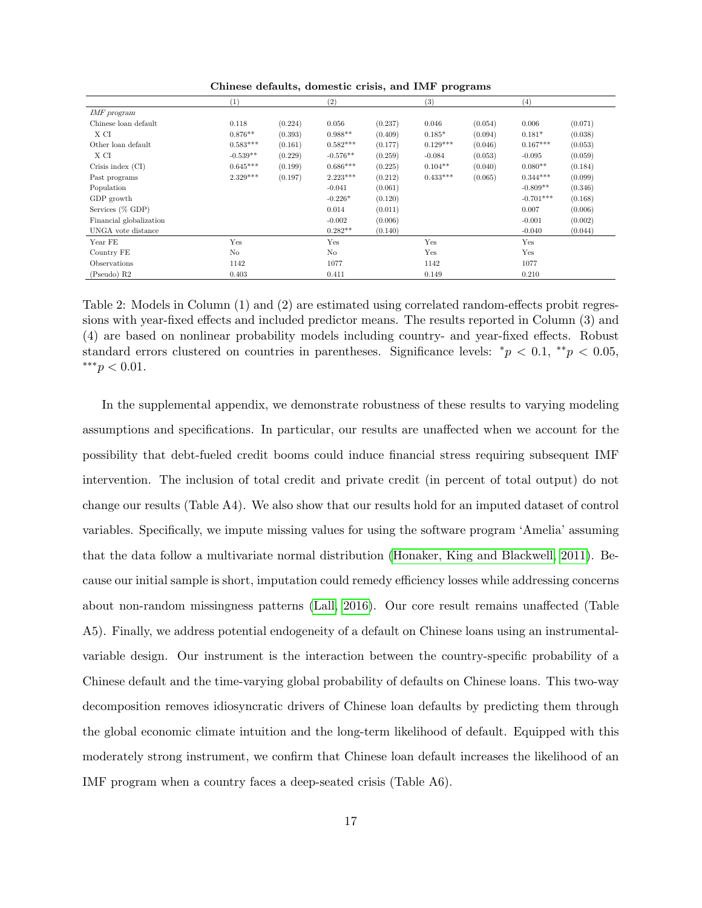Chinese defaults, domestic crisis, and IMF programs.

|                         | $\left( 1\right)$ |         | (2)        |         | (3)        |         | (4)         |         |
|-------------------------|-------------------|---------|------------|---------|------------|---------|-------------|---------|
| IMF program             |                   |         |            |         |            |         |             |         |
| Chinese loan default    | 0.118             | (0.224) | 0.056      | (0.237) | 0.046      | (0.054) | 0.006       | (0.071) |
| X CI                    | $0.876**$         | (0.393) | $0.988**$  | (0.409) | $0.185*$   | (0.094) | $0.181*$    | (0.038) |
| Other loan default      | $0.583***$        | (0.161) | $0.582***$ | (0.177) | $0.129***$ | (0.046) | $0.167***$  | (0.053) |
| X CI                    | $-0.539**$        | (0.229) | $-0.576**$ | (0.259) | $-0.084$   | (0.053) | $-0.095$    | (0.059) |
| Crisis index (CI)       | $0.645***$        | (0.199) | $0.686***$ | (0.225) | $0.104**$  | (0.040) | $0.080**$   | (0.184) |
| Past programs           | $2.329***$        | (0.197) | $2.223***$ | (0.212) | $0.433***$ | (0.065) | $0.344***$  | (0.099) |
| Population              |                   |         | $-0.041$   | (0.061) |            |         | $-0.809**$  | (0.346) |
| GDP growth              |                   |         | $-0.226*$  | (0.120) |            |         | $-0.701***$ | (0.168) |
| Services (% GDP)        |                   |         | 0.014      | (0.011) |            |         | 0.007       | (0.006) |
| Financial globalization |                   |         | $-0.002$   | (0.006) |            |         | $-0.001$    | (0.002) |
| UNGA vote distance      |                   |         | $0.282**$  | (0.140) |            |         | $-0.040$    | (0.044) |
| Year FE                 | Yes               |         | Yes        |         | Yes        |         | Yes         |         |
| Country FE              | No                |         | No         |         | Yes        |         | Yes         |         |
| Observations            | 1142              |         | 1077       |         | 1142       |         | 1077        |         |
| (Pseudo) R2             | 0.403             |         | 0.411      |         | 0.149      |         | 0.210       |         |

<span id="page-16-0"></span> (4) are based on nonlinear probability models including country- and year-fixed effects. Robust Table 2: Models in Column (1) and (2) are estimated using correlated random-effects probit regressions with year-fixed effects and included predictor means. The results reported in Column (3) and standard errors clustered on countries in parentheses. Significance levels: \* $p < 0.1$ , \*\* $p < 0.05$ , ∗∗∗p < 0.01.

In the supplemental appendix, we demonstrate robustness of these results to varying modeling assumptions and specifications. In particular, our results are unaffected when we account for the possibility that debt-fueled credit booms could induce financial stress requiring subsequent IMF intervention. The inclusion of total credit and private credit (in percent of total output) do not change our results (Table A4). We also show that our results hold for an imputed dataset of control variables. Specifically, we impute missing values for using the software program 'Amelia' assuming that the data follow a multivariate normal distribution [\(Honaker, King and Blackwell, 2011\)](#page-27-13). Because our initial sample is short, imputation could remedy efficiency losses while addressing concerns about non-random missingness patterns [\(Lall, 2016\)](#page-27-14). Our core result remains unaffected (Table A5). Finally, we address potential endogeneity of a default on Chinese loans using an instrumentalvariable design. Our instrument is the interaction between the country-specific probability of a Chinese default and the time-varying global probability of defaults on Chinese loans. This two-way decomposition removes idiosyncratic drivers of Chinese loan defaults by predicting them through the global economic climate intuition and the long-term likelihood of default. Equipped with this moderately strong instrument, we confirm that Chinese loan default increases the likelihood of an IMF program when a country faces a deep-seated crisis (Table A6).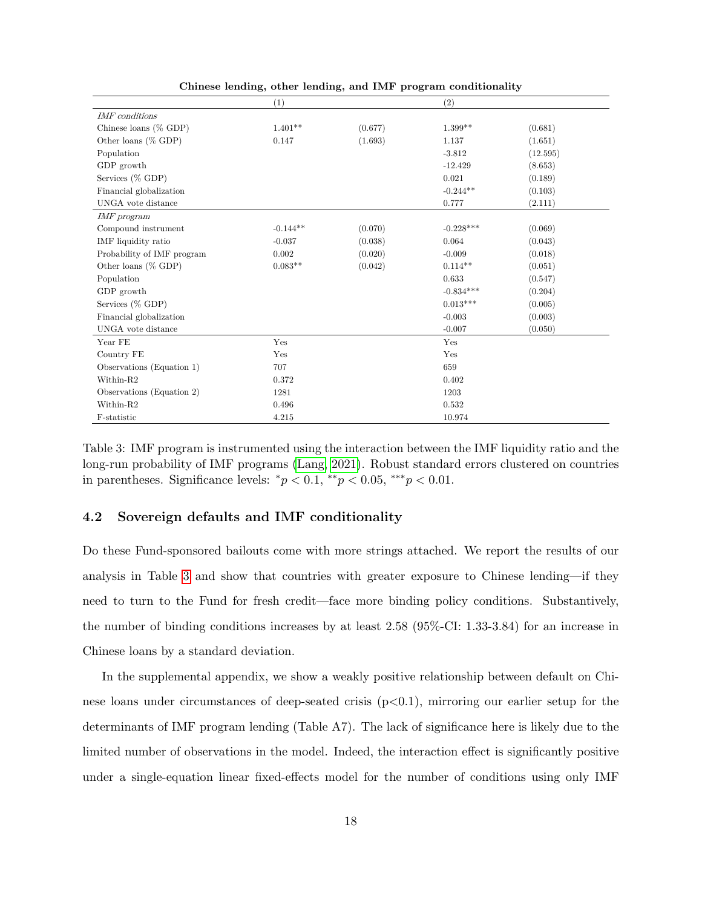|                                   | (1)        |         | (2)         |          |  |
|-----------------------------------|------------|---------|-------------|----------|--|
| <b>IMF</b> conditions             |            |         |             |          |  |
| Chinese loans (% GDP)             | $1.401**$  | (0.677) | $1.399**$   | (0.681)  |  |
| Other loans (% GDP)               | 0.147      | (1.693) | 1.137       | (1.651)  |  |
| Population                        |            |         | $-3.812$    | (12.595) |  |
| GDP growth                        |            |         | $-12.429$   | (8.653)  |  |
| Services (% GDP)                  |            |         | 0.021       | (0.189)  |  |
| Financial globalization           |            |         | $-0.244**$  | (0.103)  |  |
| UNGA vote distance                |            |         | 0.777       | (2.111)  |  |
| IMF program                       |            |         |             |          |  |
| Compound instrument               | $-0.144**$ | (0.070) | $-0.228***$ | (0.069)  |  |
| IMF liquidity ratio               | $-0.037$   | (0.038) | 0.064       | (0.043)  |  |
| Probability of IMF program        | 0.002      | (0.020) | $-0.009$    | (0.018)  |  |
| Other loans (% GDP)               | $0.083**$  | (0.042) | $0.114**$   | (0.051)  |  |
| Population                        |            |         | 0.633       | (0.547)  |  |
| GDP growth                        |            |         | $-0.834***$ | (0.204)  |  |
| Services (% GDP)                  |            |         | $0.013***$  | (0.005)  |  |
| Financial globalization           |            |         | $-0.003$    | (0.003)  |  |
| UNGA vote distance                |            |         | $-0.007$    | (0.050)  |  |
| Year FE                           | Yes        |         | Yes         |          |  |
| Country FE                        | Yes        |         | Yes         |          |  |
| Observations (Equation 1)         | 707        |         | 659         |          |  |
| Within-R2                         | 0.372      |         | 0.402       |          |  |
| Observations (Equation 2)<br>1281 |            |         | 1203        |          |  |
| Within-R2                         | 0.496      |         | 0.532       |          |  |
| F-statistic                       | 4.215      |         | 10.974      |          |  |

Chinese lending, other lending, and IMF program conditionality.

<span id="page-17-0"></span>Table 3: IMF program is instrumented using the interaction between the IMF liquidity ratio and the long-run probability of IMF programs [\(Lang, 2021\)](#page-27-12). Robust standard errors clustered on countries in parentheses. Significance levels:  $*_p$  < 0.1,  $*_p$  < 0.05,  $**_p$  < 0.01.

#### 4.2 Sovereign defaults and IMF conditionality

Do these Fund-sponsored bailouts come with more strings attached. We report the results of our analysis in Table [3](#page-17-0) and show that countries with greater exposure to Chinese lending—if they need to turn to the Fund for fresh credit—face more binding policy conditions. Substantively, the number of binding conditions increases by at least 2.58 (95%-CI: 1.33-3.84) for an increase in Chinese loans by a standard deviation.

In the supplemental appendix, we show a weakly positive relationship between default on Chinese loans under circumstances of deep-seated crisis  $(p<0.1)$ , mirroring our earlier setup for the determinants of IMF program lending (Table A7). The lack of significance here is likely due to the limited number of observations in the model. Indeed, the interaction effect is significantly positive under a single-equation linear fixed-effects model for the number of conditions using only IMF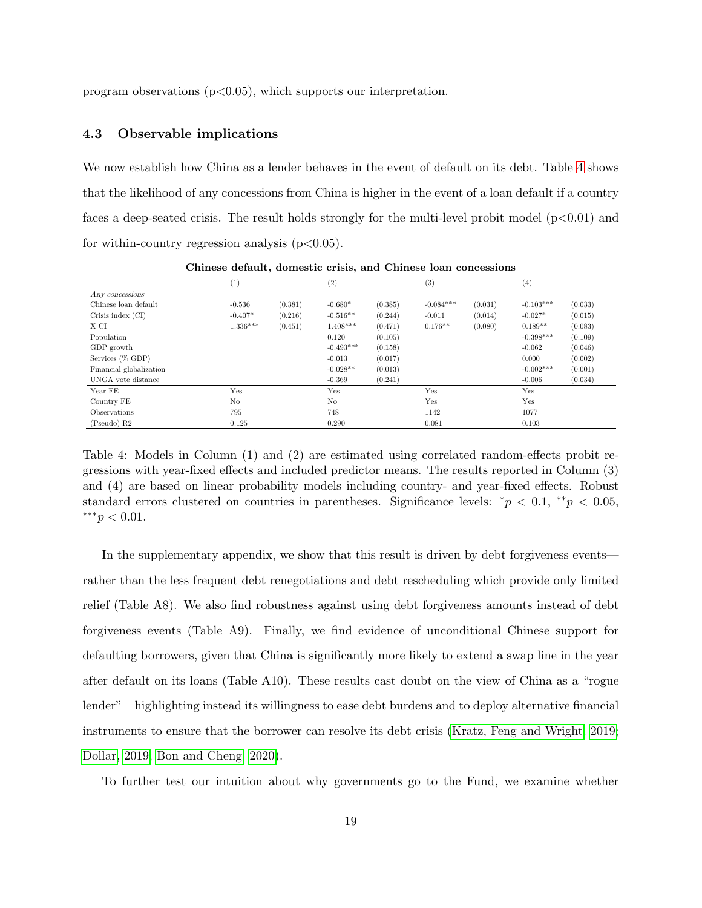program observations  $(p<0.05)$ , which supports our interpretation.

### 4.3 Observable implications

We now establish how China as a lender behaves in the event of default on its debt. Table [4](#page-18-0) shows that the likelihood of any concessions from China is higher in the event of a loan default if a country faces a deep-seated crisis. The result holds strongly for the multi-level probit model  $(p<0.01)$  and for within-country regression analysis  $(p<0.05)$ .

|                         | (1)        |         | (2)            |         | (3)         |         | (4)         |         |
|-------------------------|------------|---------|----------------|---------|-------------|---------|-------------|---------|
| Any concessions         |            |         |                |         |             |         |             |         |
| Chinese loan default    | $-0.536$   | (0.381) | $-0.680*$      | (0.385) | $-0.084***$ | (0.031) | $-0.103***$ | (0.033) |
| Crisis index (CI)       | $-0.407*$  | (0.216) | $-0.516**$     | (0.244) | $-0.011$    | (0.014) | $-0.027*$   | (0.015) |
| X CI                    | $1.336***$ | (0.451) | $1.408***$     | (0.471) | $0.176**$   | (0.080) | $0.189**$   | (0.083) |
| Population              |            |         | 0.120          | (0.105) |             |         | $-0.398***$ | (0.109) |
| GDP growth              |            |         | $-0.493***$    | (0.158) |             |         | $-0.062$    | (0.046) |
| Services (% GDP)        |            |         | $-0.013$       | (0.017) |             |         | 0.000       | (0.002) |
| Financial globalization |            |         | $-0.028**$     | (0.013) |             |         | $-0.002***$ | (0.001) |
| UNGA vote distance      |            |         | $-0.369$       | (0.241) |             |         | $-0.006$    | (0.034) |
| Year FE                 | Yes        |         | Yes            |         | Yes         |         | Yes         |         |
| Country FE              | No         |         | N <sub>o</sub> |         | Yes         |         | Yes         |         |
| Observations            | 795        |         | 748            |         | 1142        |         | 1077        |         |
| (Pseudo) R2             | 0.125      |         | 0.290          |         | 0.081       |         | 0.103       |         |

Chinese default, domestic crisis, and Chinese loan concessions

<span id="page-18-0"></span>Table 4: Models in Column (1) and (2) are estimated using correlated random-effects probit regressions with year-fixed effects and included predictor means. The results reported in Column (3) and (4) are based on linear probability models including country- and year-fixed effects. Robust standard errors clustered on countries in parentheses. Significance levels: \* $p < 0.1$ , \*\* $p < 0.05$ , ∗∗∗p < 0.01.

In the supplementary appendix, we show that this result is driven by debt forgiveness events rather than the less frequent debt renegotiations and debt rescheduling which provide only limited relief (Table A8). We also find robustness against using debt forgiveness amounts instead of debt forgiveness events (Table A9). Finally, we find evidence of unconditional Chinese support for defaulting borrowers, given that China is significantly more likely to extend a swap line in the year after default on its loans (Table A10). These results cast doubt on the view of China as a "rogue lender"—highlighting instead its willingness to ease debt burdens and to deploy alternative financial instruments to ensure that the borrower can resolve its debt crisis [\(Kratz, Feng and Wright, 2019;](#page-27-7) [Dollar, 2019;](#page-26-3) [Bon and Cheng, 2020\)](#page-25-8).

To further test our intuition about why governments go to the Fund, we examine whether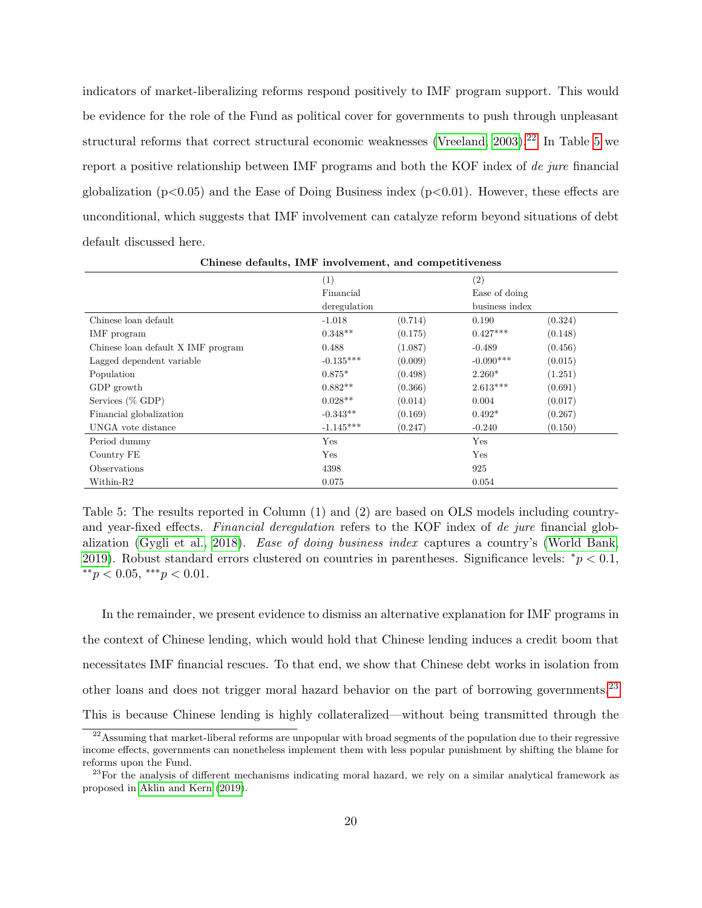indicators of market-liberalizing reforms respond positively to IMF program support. This would be evidence for the role of the Fund as political cover for governments to push through unpleasant structural reforms that correct structural economic weaknesses (Vreeland,  $2003$ ).<sup>[22](#page-19-0)</sup> In Table [5](#page-19-1) we report a positive relationship between IMF programs and both the KOF index of de jure financial globalization ( $p<0.05$ ) and the Ease of Doing Business index ( $p<0.01$ ). However, these effects are unconditional, which suggests that IMF involvement can catalyze reform beyond situations of debt default discussed here.

|                                    | (1)          |         | (2)            |         |
|------------------------------------|--------------|---------|----------------|---------|
|                                    | Financial    |         | Ease of doing  |         |
|                                    | deregulation |         | business index |         |
| Chinese loan default               | $-1.018$     | (0.714) | 0.190          | (0.324) |
| IMF program                        | $0.348**$    | (0.175) | $0.427***$     | (0.148) |
| Chinese loan default X IMF program | 0.488        | (1.087) | $-0.489$       | (0.456) |
| Lagged dependent variable          | $-0.135***$  | (0.009) | $-0.090***$    | (0.015) |
| Population                         | $0.875*$     | (0.498) | $2.260*$       | (1.251) |
| GDP growth                         | $0.882**$    | (0.366) | $2.613***$     | (0.691) |
| Services (% GDP)                   | $0.028**$    | (0.014) | 0.004          | (0.017) |
| Financial globalization            | $-0.343**$   | (0.169) | $0.492*$       | (0.267) |
| UNGA vote distance                 | $-1.145***$  | (0.247) | $-0.240$       | (0.150) |
| Period dummy                       | Yes          |         | Yes            |         |
| Country FE                         | Yes          |         | Yes            |         |
| Observations                       | 4398         |         | 925            |         |
| Within-R2                          | 0.075        |         | 0.054          |         |

Chinese defaults, IMF involvement, and competitiveness

<span id="page-19-1"></span>and year-fixed effects. Financial deregulation refers to the KOF index of de jure financial glob-Table 5: The results reported in Column (1) and (2) are based on OLS models including countryalization [\(Gygli et al., 2018\)](#page-26-7). Ease of doing business index captures a country's [\(World Bank,](#page-30-2) [2019\)](#page-30-2). Robust standard errors clustered on countries in parentheses. Significance levels: \* $p < 0.1$ ,  $*$ <sup>\*</sup> $p$  < 0.05,  $*$ <sup>\*</sup> $p$  < 0.01.

In the remainder, we present evidence to dismiss an alternative explanation for IMF programs in the context of Chinese lending, which would hold that Chinese lending induces a credit boom that necessitates IMF financial rescues. To that end, we show that Chinese debt works in isolation from other loans and does not trigger moral hazard behavior on the part of borrowing governments.[23](#page-19-2) This is because Chinese lending is highly collateralized—without being transmitted through the

<span id="page-19-0"></span> $22$ Assuming that market-liberal reforms are unpopular with broad segments of the population due to their regressive income effects, governments can nonetheless implement them with less popular punishment by shifting the blame for reforms upon the Fund.

<span id="page-19-2"></span><sup>&</sup>lt;sup>23</sup>For the analysis of different mechanisms indicating moral hazard, we rely on a similar analytical framework as proposed in [Aklin and Kern](#page-25-11) [\(2019\)](#page-25-11).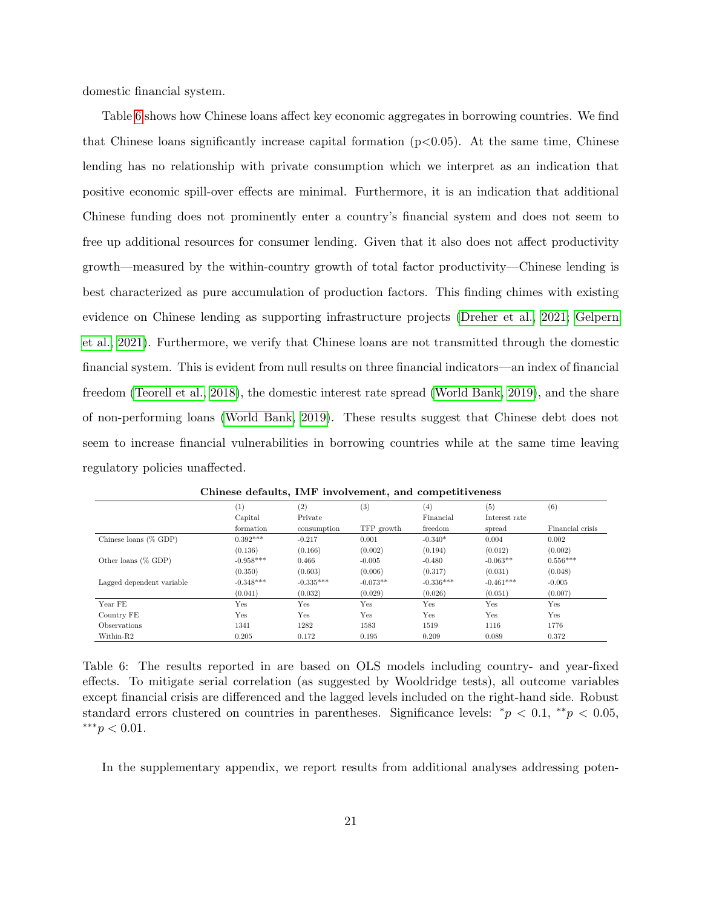domestic financial system.

Table [6](#page-20-0) shows how Chinese loans affect key economic aggregates in borrowing countries. We find that Chinese loans significantly increase capital formation  $(p<0.05)$ . At the same time, Chinese lending has no relationship with private consumption which we interpret as an indication that positive economic spill-over effects are minimal. Furthermore, it is an indication that additional Chinese funding does not prominently enter a country's financial system and does not seem to free up additional resources for consumer lending. Given that it also does not affect productivity growth—measured by the within-country growth of total factor productivity—Chinese lending is best characterized as pure accumulation of production factors. This finding chimes with existing evidence on Chinese lending as supporting infrastructure projects [\(Dreher et al., 2021;](#page-26-5) [Gelpern](#page-26-0) [et al., 2021\)](#page-26-0). Furthermore, we verify that Chinese loans are not transmitted through the domestic financial system. This is evident from null results on three financial indicators—an index of financial freedom [\(Teorell et al., 2018\)](#page-29-13), the domestic interest rate spread [\(World Bank, 2019\)](#page-30-2), and the share of non-performing loans [\(World Bank, 2019\)](#page-30-2). These results suggest that Chinese debt does not seem to increase financial vulnerabilities in borrowing countries while at the same time leaving regulatory policies unaffected.

|                           | (1)         | (2)         | (3)        | $\left( 4\right)$ | (5)           | (6)              |
|---------------------------|-------------|-------------|------------|-------------------|---------------|------------------|
|                           | Capital     | Private     |            | Financial         | Interest rate |                  |
|                           | formation   | consumption | TFP growth | freedom           | spread        | Financial crisis |
| Chinese loans $(\%$ GDP)  | $0.392***$  | $-0.217$    | 0.001      | $-0.340*$         | 0.004         | 0.002            |
|                           | (0.136)     | (0.166)     | (0.002)    | (0.194)           | (0.012)       | (0.002)          |
| Other loans $(\%$ GDP)    | $-0.958***$ | 0.466       | $-0.005$   | $-0.480$          | $-0.063**$    | $0.556***$       |
|                           | (0.350)     | (0.603)     | (0.006)    | (0.317)           | (0.031)       | (0.048)          |
| Lagged dependent variable | $-0.348***$ | $-0.335***$ | $-0.073**$ | $-0.336***$       | $-0.461***$   | $-0.005$         |
|                           | (0.041)     | (0.032)     | (0.029)    | (0.026)           | (0.051)       | (0.007)          |
| Year FE                   | Yes         | Yes         | Yes        | Yes               | Yes           | Yes              |
| Country FE                | Yes         | Yes         | Yes        | Yes               | Yes           | Yes              |
| <b>Observations</b>       | 1341        | 1282        | 1583       | 1519              | 1116          | 1776             |
| Within-R2                 | 0.205       | 0.172       | 0.195      | 0.209             | 0.089         | 0.372            |

Chinese defaults, IMF involvement, and competitiveness

<span id="page-20-0"></span>Table 6: The results reported in are based on OLS models including country- and year-fixed effects. To mitigate serial correlation (as suggested by Wooldridge tests), all outcome variables except financial crisis are differenced and the lagged levels included on the right-hand side. Robust standard errors clustered on countries in parentheses. Significance levels: \* $p < 0.1$ , \*\* $p < 0.05$ , ∗∗∗p < 0.01.

In the supplementary appendix, we report results from additional analyses addressing poten-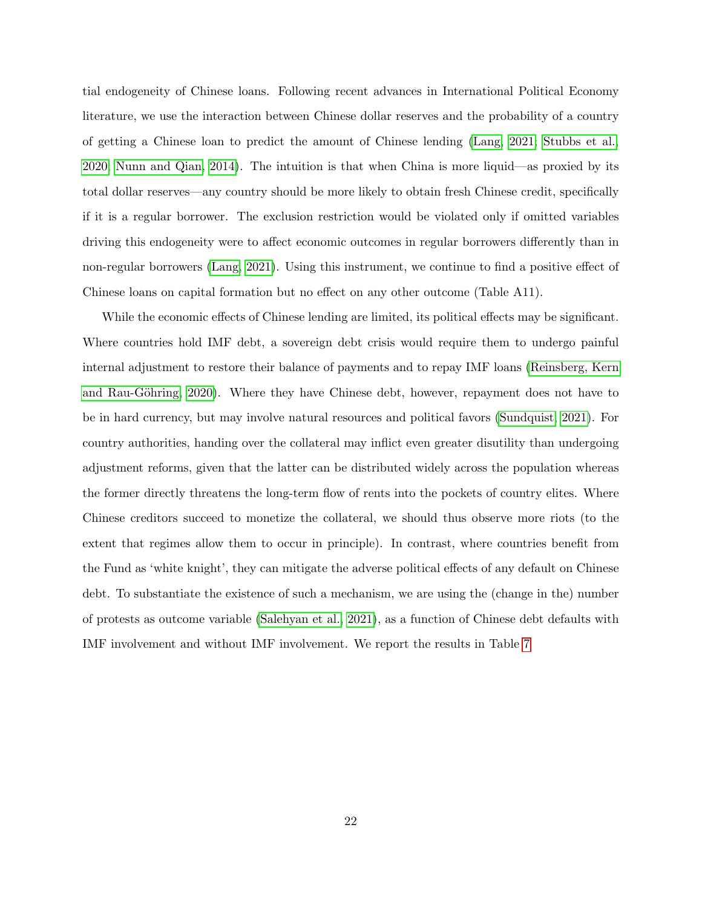tial endogeneity of Chinese loans. Following recent advances in International Political Economy literature, we use the interaction between Chinese dollar reserves and the probability of a country of getting a Chinese loan to predict the amount of Chinese lending [\(Lang, 2021;](#page-27-12) [Stubbs et al.,](#page-29-6) [2020;](#page-29-6) [Nunn and Qian, 2014\)](#page-28-12). The intuition is that when China is more liquid—as proxied by its total dollar reserves—any country should be more likely to obtain fresh Chinese credit, specifically if it is a regular borrower. The exclusion restriction would be violated only if omitted variables driving this endogeneity were to affect economic outcomes in regular borrowers differently than in non-regular borrowers [\(Lang, 2021\)](#page-27-12). Using this instrument, we continue to find a positive effect of Chinese loans on capital formation but no effect on any other outcome (Table A11).

While the economic effects of Chinese lending are limited, its political effects may be significant. Where countries hold IMF debt, a sovereign debt crisis would require them to undergo painful internal adjustment to restore their balance of payments and to repay IMF loans [\(Reinsberg, Kern](#page-28-13) and Rau-Göhring, 2020). Where they have Chinese debt, however, repayment does not have to be in hard currency, but may involve natural resources and political favors [\(Sundquist, 2021\)](#page-29-1). For country authorities, handing over the collateral may inflict even greater disutility than undergoing adjustment reforms, given that the latter can be distributed widely across the population whereas the former directly threatens the long-term flow of rents into the pockets of country elites. Where Chinese creditors succeed to monetize the collateral, we should thus observe more riots (to the extent that regimes allow them to occur in principle). In contrast, where countries benefit from the Fund as 'white knight', they can mitigate the adverse political effects of any default on Chinese debt. To substantiate the existence of such a mechanism, we are using the (change in the) number of protests as outcome variable [\(Salehyan et al., 2021\)](#page-28-14), as a function of Chinese debt defaults with IMF involvement and without IMF involvement. We report the results in Table [7](#page-22-0)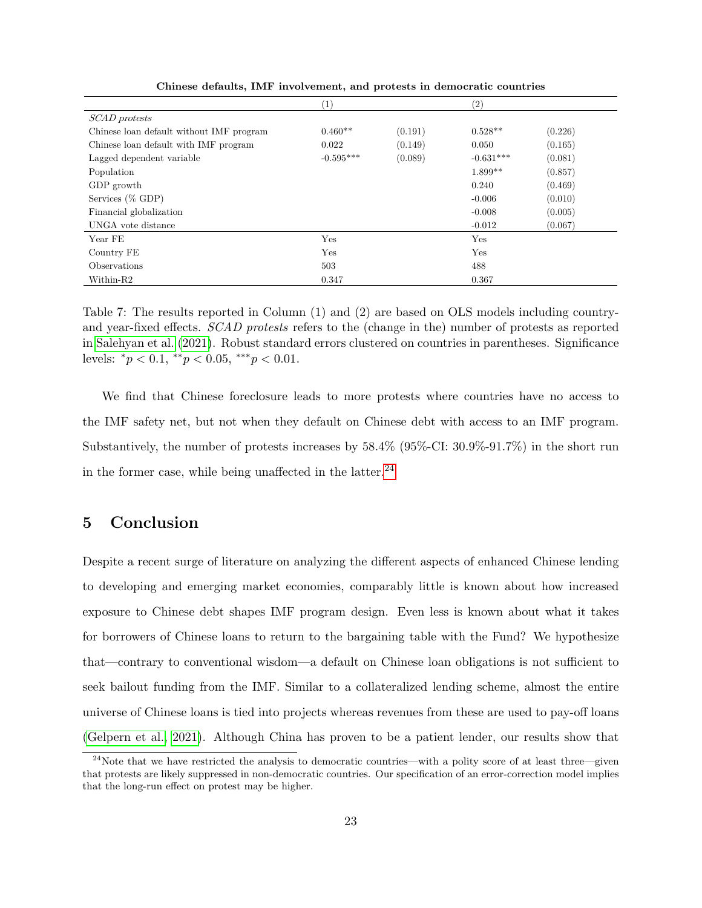|                                          | $\left(1\right)$ |         | $\left( 2\right)$ |         |
|------------------------------------------|------------------|---------|-------------------|---------|
| SCAD protests                            |                  |         |                   |         |
| Chinese loan default without IMF program | $0.460**$        | (0.191) | $0.528**$         | (0.226) |
| Chinese loan default with IMF program    | 0.022            | (0.149) | 0.050             | (0.165) |
| Lagged dependent variable                | $-0.595***$      | (0.089) | $-0.631***$       | (0.081) |
| Population                               |                  |         | $1.899**$         | (0.857) |
| GDP growth                               |                  |         | 0.240             | (0.469) |
| Services (% GDP)                         |                  |         | $-0.006$          | (0.010) |
| Financial globalization                  |                  |         | $-0.008$          | (0.005) |
| UNGA vote distance                       |                  |         | $-0.012$          | (0.067) |
| Year FE                                  | Yes              |         | Yes               |         |
| Country FE                               | Yes              |         | Yes               |         |
| Observations                             | 503              |         | 488               |         |
| Within-R2                                | 0.347            |         | 0.367             |         |

Chinese defaults, IMF involvement, and protests in democratic countries.

<span id="page-22-0"></span> in [Salehyan et al.](#page-28-14) [\(2021\)](#page-28-14). Robust standard errors clustered on countries in parentheses. Significance Table 7: The results reported in Column (1) and (2) are based on OLS models including countryand year-fixed effects. SCAD protests refers to the (change in the) number of protests as reported levels:  ${}^*p < 0.1, {}^{**}p < 0.05, {}^{***}p < 0.01.$ 

We find that Chinese foreclosure leads to more protests where countries have no access to the IMF safety net, but not when they default on Chinese debt with access to an IMF program. Substantively, the number of protests increases by 58.4% (95%-CI: 30.9%-91.7%) in the short run in the former case, while being unaffected in the latter.<sup>[24](#page-22-1)</sup>

### 5 Conclusion

Despite a recent surge of literature on analyzing the different aspects of enhanced Chinese lending to developing and emerging market economies, comparably little is known about how increased exposure to Chinese debt shapes IMF program design. Even less is known about what it takes for borrowers of Chinese loans to return to the bargaining table with the Fund? We hypothesize that—contrary to conventional wisdom—a default on Chinese loan obligations is not sufficient to seek bailout funding from the IMF. Similar to a collateralized lending scheme, almost the entire universe of Chinese loans is tied into projects whereas revenues from these are used to pay-off loans [\(Gelpern et al., 2021\)](#page-26-0). Although China has proven to be a patient lender, our results show that

<span id="page-22-1"></span><sup>&</sup>lt;sup>24</sup>Note that we have restricted the analysis to democratic countries—with a polity score of at least three—given that protests are likely suppressed in non-democratic countries. Our specification of an error-correction model implies that the long-run effect on protest may be higher.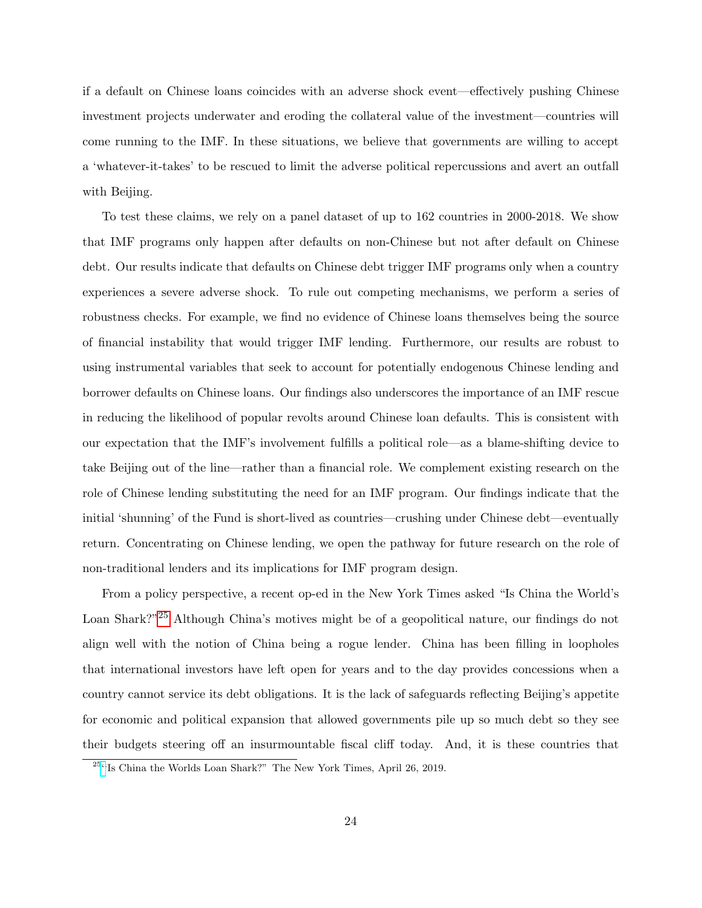if a default on Chinese loans coincides with an adverse shock event—effectively pushing Chinese investment projects underwater and eroding the collateral value of the investment—countries will come running to the IMF. In these situations, we believe that governments are willing to accept a 'whatever-it-takes' to be rescued to limit the adverse political repercussions and avert an outfall with Beijing.

To test these claims, we rely on a panel dataset of up to 162 countries in 2000-2018. We show that IMF programs only happen after defaults on non-Chinese but not after default on Chinese debt. Our results indicate that defaults on Chinese debt trigger IMF programs only when a country experiences a severe adverse shock. To rule out competing mechanisms, we perform a series of robustness checks. For example, we find no evidence of Chinese loans themselves being the source of financial instability that would trigger IMF lending. Furthermore, our results are robust to using instrumental variables that seek to account for potentially endogenous Chinese lending and borrower defaults on Chinese loans. Our findings also underscores the importance of an IMF rescue in reducing the likelihood of popular revolts around Chinese loan defaults. This is consistent with our expectation that the IMF's involvement fulfills a political role—as a blame-shifting device to take Beijing out of the line—rather than a financial role. We complement existing research on the role of Chinese lending substituting the need for an IMF program. Our findings indicate that the initial 'shunning' of the Fund is short-lived as countries—crushing under Chinese debt—eventually return. Concentrating on Chinese lending, we open the pathway for future research on the role of non-traditional lenders and its implications for IMF program design.

From a policy perspective, a recent op-ed in the New York Times asked "Is China the World's Loan Shark?"[25](#page-23-0) Although China's motives might be of a geopolitical nature, our findings do not align well with the notion of China being a rogue lender. China has been filling in loopholes that international investors have left open for years and to the day provides concessions when a country cannot service its debt obligations. It is the lack of safeguards reflecting Beijing's appetite for economic and political expansion that allowed governments pile up so much debt so they see their budgets steering off an insurmountable fiscal cliff today. And, it is these countries that

<span id="page-23-0"></span><sup>25</sup>[''](https://www.nytimes.com/2019/04/26/opinion/china-belt-road-initiative.html)Is China the Worlds Loan Shark?" The New York Times, April 26, 2019.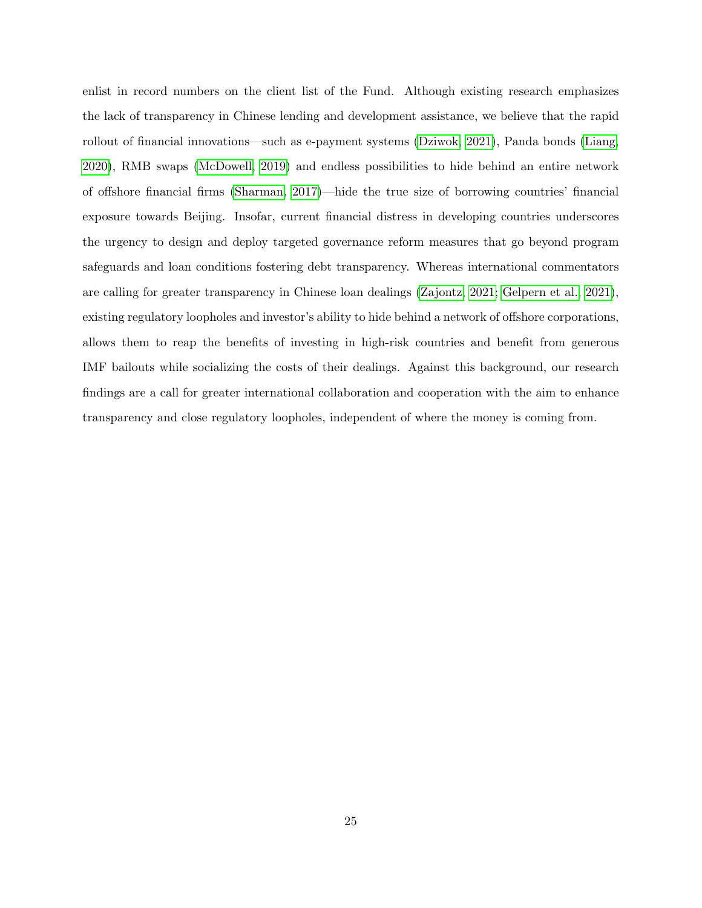enlist in record numbers on the client list of the Fund. Although existing research emphasizes the lack of transparency in Chinese lending and development assistance, we believe that the rapid rollout of financial innovations—such as e-payment systems [\(Dziwok, 2021\)](#page-26-13), Panda bonds [\(Liang,](#page-28-15) [2020\)](#page-28-15), RMB swaps [\(McDowell, 2019\)](#page-28-6) and endless possibilities to hide behind an entire network of offshore financial firms [\(Sharman, 2017\)](#page-29-14)—hide the true size of borrowing countries' financial exposure towards Beijing. Insofar, current financial distress in developing countries underscores the urgency to design and deploy targeted governance reform measures that go beyond program safeguards and loan conditions fostering debt transparency. Whereas international commentators are calling for greater transparency in Chinese loan dealings [\(Zajontz, 2021;](#page-30-0) [Gelpern et al., 2021\)](#page-26-0), existing regulatory loopholes and investor's ability to hide behind a network of offshore corporations, allows them to reap the benefits of investing in high-risk countries and benefit from generous IMF bailouts while socializing the costs of their dealings. Against this background, our research findings are a call for greater international collaboration and cooperation with the aim to enhance transparency and close regulatory loopholes, independent of where the money is coming from.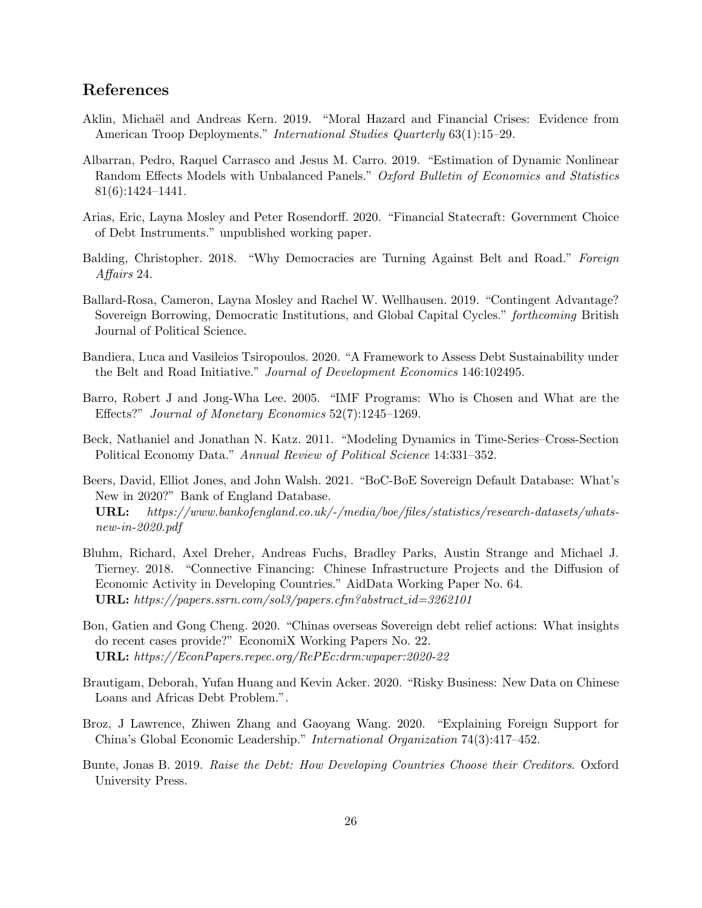## References

- <span id="page-25-11"></span>Aklin, Michaël and Andreas Kern. 2019. "Moral Hazard and Financial Crises: Evidence from American Troop Deployments." International Studies Quarterly 63(1):15–29.
- <span id="page-25-12"></span>Albarran, Pedro, Raquel Carrasco and Jesus M. Carro. 2019. "Estimation of Dynamic Nonlinear Random Effects Models with Unbalanced Panels." Oxford Bulletin of Economics and Statistics 81(6):1424–1441.
- <span id="page-25-1"></span>Arias, Eric, Layna Mosley and Peter Rosendorff. 2020. "Financial Statecraft: Government Choice of Debt Instruments." unpublished working paper.
- <span id="page-25-7"></span>Balding, Christopher. 2018. "Why Democracies are Turning Against Belt and Road." Foreign Affairs 24.
- <span id="page-25-4"></span>Ballard-Rosa, Cameron, Layna Mosley and Rachel W. Wellhausen. 2019. "Contingent Advantage? Sovereign Borrowing, Democratic Institutions, and Global Capital Cycles." forthcoming British Journal of Political Science.
- <span id="page-25-6"></span>Bandiera, Luca and Vasileios Tsiropoulos. 2020. "A Framework to Assess Debt Sustainability under the Belt and Road Initiative." Journal of Development Economics 146:102495.
- <span id="page-25-10"></span>Barro, Robert J and Jong-Wha Lee. 2005. "IMF Programs: Who is Chosen and What are the Effects?" Journal of Monetary Economics 52(7):1245–1269.
- <span id="page-25-13"></span>Beck, Nathaniel and Jonathan N. Katz. 2011. "Modeling Dynamics in Time-Series–Cross-Section Political Economy Data." Annual Review of Political Science 14:331–352.
- <span id="page-25-9"></span>Beers, David, Elliot Jones, and John Walsh. 2021. "BoC-BoE Sovereign Default Database: What's New in 2020?" Bank of England Database.
	- URL: https://www.bankofengland.co.uk/-/media/boe/files/statistics/research-datasets/whatsnew-in-2020.pdf
- <span id="page-25-2"></span>Bluhm, Richard, Axel Dreher, Andreas Fuchs, Bradley Parks, Austin Strange and Michael J. Tierney. 2018. "Connective Financing: Chinese Infrastructure Projects and the Diffusion of Economic Activity in Developing Countries." AidData Working Paper No. 64. URL: https://papers.ssrn.com/sol3/papers.cfm?abstract id=3262101
- <span id="page-25-8"></span>Bon, Gatien and Gong Cheng. 2020. "Chinas overseas Sovereign debt relief actions: What insights do recent cases provide?" EconomiX Working Papers No. 22. URL: https://EconPapers.repec.org/RePEc:drm:wpaper:2020-22
- <span id="page-25-3"></span>Brautigam, Deborah, Yufan Huang and Kevin Acker. 2020. "Risky Business: New Data on Chinese Loans and Africas Debt Problem.".
- <span id="page-25-0"></span>Broz, J Lawrence, Zhiwen Zhang and Gaoyang Wang. 2020. "Explaining Foreign Support for China's Global Economic Leadership." International Organization 74(3):417–452.
- <span id="page-25-5"></span>Bunte, Jonas B. 2019. Raise the Debt: How Developing Countries Choose their Creditors. Oxford University Press.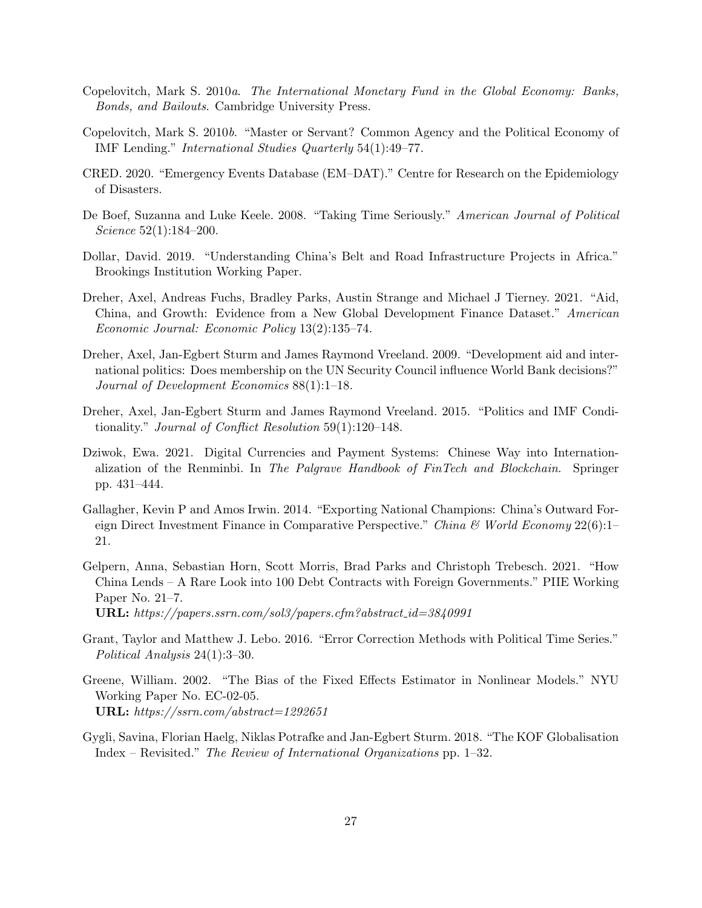- <span id="page-26-1"></span>Copelovitch, Mark S. 2010a. The International Monetary Fund in the Global Economy: Banks, Bonds, and Bailouts. Cambridge University Press.
- <span id="page-26-8"></span>Copelovitch, Mark S. 2010b. "Master or Servant? Common Agency and the Political Economy of IMF Lending." International Studies Quarterly 54(1):49–77.
- <span id="page-26-6"></span>CRED. 2020. "Emergency Events Database (EM–DAT)." Centre for Research on the Epidemiology of Disasters.
- <span id="page-26-11"></span>De Boef, Suzanna and Luke Keele. 2008. "Taking Time Seriously." American Journal of Political Science 52(1):184–200.
- <span id="page-26-3"></span>Dollar, David. 2019. "Understanding China's Belt and Road Infrastructure Projects in Africa." Brookings Institution Working Paper.
- <span id="page-26-5"></span>Dreher, Axel, Andreas Fuchs, Bradley Parks, Austin Strange and Michael J Tierney. 2021. "Aid, China, and Growth: Evidence from a New Global Development Finance Dataset." American Economic Journal: Economic Policy 13(2):135–74.
- <span id="page-26-9"></span>Dreher, Axel, Jan-Egbert Sturm and James Raymond Vreeland. 2009. "Development aid and international politics: Does membership on the UN Security Council influence World Bank decisions?" Journal of Development Economics 88(1):1–18.
- <span id="page-26-2"></span>Dreher, Axel, Jan-Egbert Sturm and James Raymond Vreeland. 2015. "Politics and IMF Conditionality." Journal of Conflict Resolution 59(1):120–148.
- <span id="page-26-13"></span>Dziwok, Ewa. 2021. Digital Currencies and Payment Systems: Chinese Way into Internationalization of the Renminbi. In The Palgrave Handbook of FinTech and Blockchain. Springer pp. 431–444.
- <span id="page-26-4"></span>Gallagher, Kevin P and Amos Irwin. 2014. "Exporting National Champions: China's Outward Foreign Direct Investment Finance in Comparative Perspective." China & World Economy  $22(6)$ :1– 21.
- <span id="page-26-0"></span>Gelpern, Anna, Sebastian Horn, Scott Morris, Brad Parks and Christoph Trebesch. 2021. "How China Lends – A Rare Look into 100 Debt Contracts with Foreign Governments." PIIE Working Paper No. 21–7.

URL: https://papers.ssrn.com/sol3/papers.cfm?abstract id=3840991

- <span id="page-26-12"></span>Grant, Taylor and Matthew J. Lebo. 2016. "Error Correction Methods with Political Time Series." Political Analysis 24(1):3–30.
- <span id="page-26-10"></span>Greene, William. 2002. "The Bias of the Fixed Effects Estimator in Nonlinear Models." NYU Working Paper No. EC-02-05. URL: https://ssrn.com/abstract=1292651
- <span id="page-26-7"></span>Gygli, Savina, Florian Haelg, Niklas Potrafke and Jan-Egbert Sturm. 2018. "The KOF Globalisation Index – Revisited." The Review of International Organizations pp. 1–32.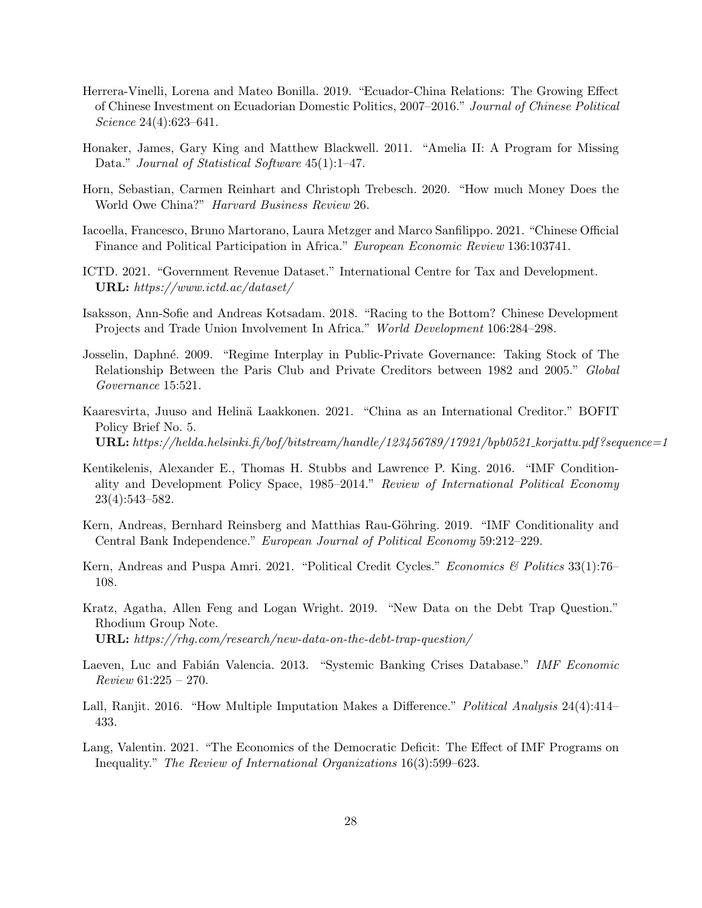- <span id="page-27-3"></span>Herrera-Vinelli, Lorena and Mateo Bonilla. 2019. "Ecuador-China Relations: The Growing Effect of Chinese Investment on Ecuadorian Domestic Politics, 2007–2016." Journal of Chinese Political Science 24(4):623–641.
- <span id="page-27-13"></span>Honaker, James, Gary King and Matthew Blackwell. 2011. "Amelia II: A Program for Missing Data." *Journal of Statistical Software* 45(1):1–47.
- <span id="page-27-0"></span>Horn, Sebastian, Carmen Reinhart and Christoph Trebesch. 2020. "How much Money Does the World Owe China?" Harvard Business Review 26.
- <span id="page-27-6"></span>Iacoella, Francesco, Bruno Martorano, Laura Metzger and Marco Sanfilippo. 2021. "Chinese Official Finance and Political Participation in Africa." European Economic Review 136:103741.
- <span id="page-27-10"></span>ICTD. 2021. "Government Revenue Dataset." International Centre for Tax and Development. URL: https://www.ictd.ac/dataset/
- <span id="page-27-5"></span>Isaksson, Ann-Sofie and Andreas Kotsadam. 2018. "Racing to the Bottom? Chinese Development Projects and Trade Union Involvement In Africa." World Development 106:284–298.
- <span id="page-27-8"></span>Josselin, Daphné. 2009. "Regime Interplay in Public-Private Governance: Taking Stock of The Relationship Between the Paris Club and Private Creditors between 1982 and 2005." Global Governance 15:521.
- <span id="page-27-1"></span>Kaaresvirta, Juuso and Helinä Laakkonen. 2021. "China as an International Creditor." BOFIT Policy Brief No. 5. URL: https://helda.helsinki.fi/bof/bitstream/handle/123456789/17921/bpb0521\_korjattu.pdf?sequence=1
- <span id="page-27-9"></span>Kentikelenis, Alexander E., Thomas H. Stubbs and Lawrence P. King. 2016. "IMF Conditionality and Development Policy Space, 1985–2014." Review of International Political Economy 23(4):543–582.
- <span id="page-27-2"></span>Kern, Andreas, Bernhard Reinsberg and Matthias Rau-Göhring. 2019. "IMF Conditionality and Central Bank Independence." European Journal of Political Economy 59:212–229.
- <span id="page-27-4"></span>Kern, Andreas and Puspa Amri. 2021. "Political Credit Cycles." Economics & Politics 33(1):76-108.
- <span id="page-27-7"></span>Kratz, Agatha, Allen Feng and Logan Wright. 2019. "New Data on the Debt Trap Question." Rhodium Group Note. URL: https://rhg.com/research/new-data-on-the-debt-trap-question/
- <span id="page-27-11"></span>Laeven, Luc and Fabián Valencia. 2013. "Systemic Banking Crises Database." IMF Economic Review 61:225 – 270.
- <span id="page-27-14"></span>Lall, Ranjit. 2016. "How Multiple Imputation Makes a Difference." Political Analysis 24(4):414– 433.
- <span id="page-27-12"></span>Lang, Valentin. 2021. "The Economics of the Democratic Deficit: The Effect of IMF Programs on Inequality." The Review of International Organizations 16(3):599–623.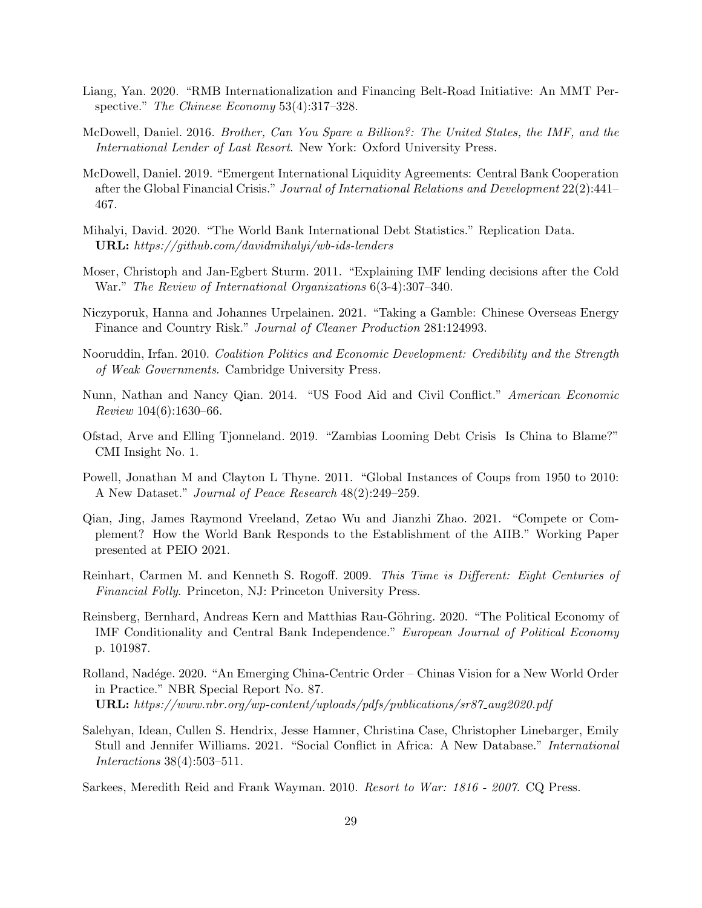- <span id="page-28-15"></span>Liang, Yan. 2020. "RMB Internationalization and Financing Belt-Road Initiative: An MMT Perspective." The Chinese Economy 53(4):317-328.
- <span id="page-28-3"></span>McDowell, Daniel. 2016. Brother, Can You Spare a Billion?: The United States, the IMF, and the International Lender of Last Resort. New York: Oxford University Press.
- <span id="page-28-6"></span>McDowell, Daniel. 2019. "Emergent International Liquidity Agreements: Central Bank Cooperation after the Global Financial Crisis." Journal of International Relations and Development 22(2):441– 467.
- <span id="page-28-7"></span>Mihalyi, David. 2020. "The World Bank International Debt Statistics." Replication Data. URL: https://github.com/davidmihalyi/wb-ids-lenders
- <span id="page-28-10"></span>Moser, Christoph and Jan-Egbert Sturm. 2011. "Explaining IMF lending decisions after the Cold War." The Review of International Organizations 6(3-4):307–340.
- <span id="page-28-5"></span>Niczyporuk, Hanna and Johannes Urpelainen. 2021. "Taking a Gamble: Chinese Overseas Energy Finance and Country Risk." Journal of Cleaner Production 281:124993.
- <span id="page-28-11"></span>Nooruddin, Irfan. 2010. Coalition Politics and Economic Development: Credibility and the Strength of Weak Governments. Cambridge University Press.
- <span id="page-28-12"></span>Nunn, Nathan and Nancy Qian. 2014. "US Food Aid and Civil Conflict." American Economic Review 104(6):1630–66.
- <span id="page-28-2"></span>Ofstad, Arve and Elling Tjonneland. 2019. "Zambias Looming Debt Crisis Is China to Blame?" CMI Insight No. 1.
- <span id="page-28-9"></span>Powell, Jonathan M and Clayton L Thyne. 2011. "Global Instances of Coups from 1950 to 2010: A New Dataset." Journal of Peace Research 48(2):249–259.
- <span id="page-28-1"></span>Qian, Jing, James Raymond Vreeland, Zetao Wu and Jianzhi Zhao. 2021. "Compete or Complement? How the World Bank Responds to the Establishment of the AIIB." Working Paper presented at PEIO 2021.
- <span id="page-28-0"></span>Reinhart, Carmen M. and Kenneth S. Rogoff. 2009. This Time is Different: Eight Centuries of Financial Folly. Princeton, NJ: Princeton University Press.
- <span id="page-28-13"></span>Reinsberg, Bernhard, Andreas Kern and Matthias Rau-Göhring. 2020. "The Political Economy of IMF Conditionality and Central Bank Independence." European Journal of Political Economy p. 101987.
- <span id="page-28-4"></span>Rolland, Nadége. 2020. "An Emerging China-Centric Order – Chinas Vision for a New World Order in Practice." NBR Special Report No. 87. URL: https://www.nbr.org/wp-content/uploads/pdfs/publications/sr87 aug2020.pdf
- <span id="page-28-14"></span>Salehyan, Idean, Cullen S. Hendrix, Jesse Hamner, Christina Case, Christopher Linebarger, Emily Stull and Jennifer Williams. 2021. "Social Conflict in Africa: A New Database." International Interactions 38(4):503–511.
- <span id="page-28-8"></span>Sarkees, Meredith Reid and Frank Wayman. 2010. Resort to War: 1816 - 2007. CQ Press.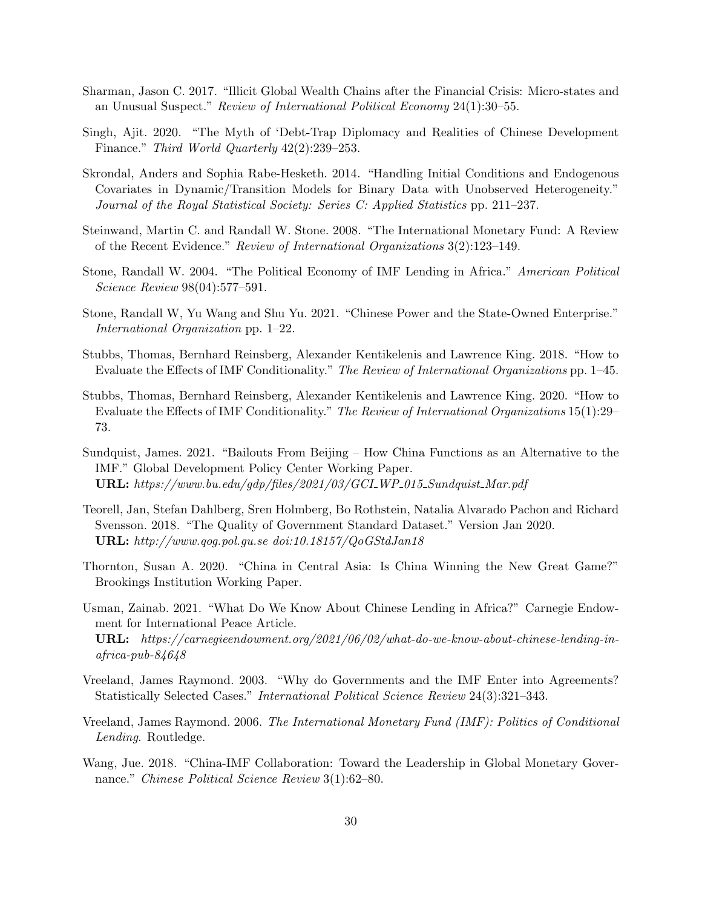- <span id="page-29-14"></span>Sharman, Jason C. 2017. "Illicit Global Wealth Chains after the Financial Crisis: Micro-states and an Unusual Suspect." Review of International Political Economy 24(1):30–55.
- <span id="page-29-2"></span>Singh, Ajit. 2020. "The Myth of 'Debt-Trap Diplomacy and Realities of Chinese Development Finance." Third World Quarterly 42(2):239–253.
- <span id="page-29-12"></span>Skrondal, Anders and Sophia Rabe-Hesketh. 2014. "Handling Initial Conditions and Endogenous Covariates in Dynamic/Transition Models for Binary Data with Unobserved Heterogeneity." Journal of the Royal Statistical Society: Series C: Applied Statistics pp. 211–237.
- <span id="page-29-5"></span>Steinwand, Martin C. and Randall W. Stone. 2008. "The International Monetary Fund: A Review of the Recent Evidence." Review of International Organizations 3(2):123–149.
- <span id="page-29-7"></span>Stone, Randall W. 2004. "The Political Economy of IMF Lending in Africa." American Political Science Review 98(04):577–591.
- <span id="page-29-10"></span>Stone, Randall W, Yu Wang and Shu Yu. 2021. "Chinese Power and the State-Owned Enterprise." International Organization pp. 1–22.
- <span id="page-29-0"></span>Stubbs, Thomas, Bernhard Reinsberg, Alexander Kentikelenis and Lawrence King. 2018. "How to Evaluate the Effects of IMF Conditionality." The Review of International Organizations pp. 1–45.
- <span id="page-29-6"></span>Stubbs, Thomas, Bernhard Reinsberg, Alexander Kentikelenis and Lawrence King. 2020. "How to Evaluate the Effects of IMF Conditionality." The Review of International Organizations 15(1):29– 73.
- <span id="page-29-1"></span>Sundquist, James. 2021. "Bailouts From Beijing – How China Functions as an Alternative to the IMF." Global Development Policy Center Working Paper. URL: https://www.bu.edu/gdp/files/2021/03/GCI WP 015 Sundquist Mar.pdf
- <span id="page-29-13"></span>Teorell, Jan, Stefan Dahlberg, Sren Holmberg, Bo Rothstein, Natalia Alvarado Pachon and Richard Svensson. 2018. "The Quality of Government Standard Dataset." Version Jan 2020. URL: http://www.qog.pol.gu.se doi:10.18157/QoGStdJan18
- <span id="page-29-4"></span>Thornton, Susan A. 2020. "China in Central Asia: Is China Winning the New Great Game?" Brookings Institution Working Paper.
- <span id="page-29-8"></span>Usman, Zainab. 2021. "What Do We Know About Chinese Lending in Africa?" Carnegie Endowment for International Peace Article. URL: https://carnegieendowment.org/2021/06/02/what-do-we-know-about-chinese-lending-inafrica-pub-84648
- <span id="page-29-11"></span>Vreeland, James Raymond. 2003. "Why do Governments and the IMF Enter into Agreements? Statistically Selected Cases." International Political Science Review 24(3):321–343.
- <span id="page-29-3"></span>Vreeland, James Raymond. 2006. The International Monetary Fund (IMF): Politics of Conditional Lending. Routledge.
- <span id="page-29-9"></span>Wang, Jue. 2018. "China-IMF Collaboration: Toward the Leadership in Global Monetary Governance." Chinese Political Science Review 3(1):62–80.